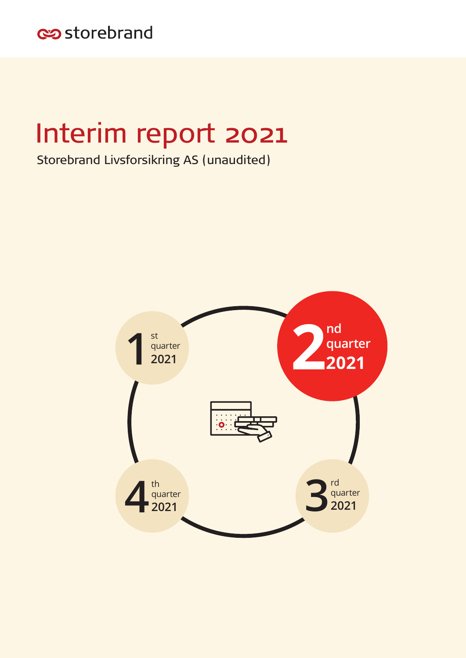

# Interim report 2021

Storebrand Livsforsikring AS (unaudited)

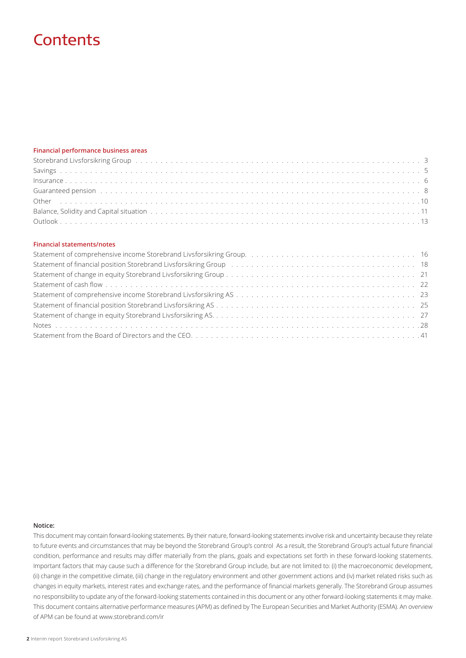## **Contents**

## **Financial performance business areas**

## **Financial statements/notes**

| Statement of financial position Storebrand Livsforsikring Group (and all conductances of the statement of financial position Storebrand Livsforsikring Group (all conductances of the statement of the statement of the statem |  |
|--------------------------------------------------------------------------------------------------------------------------------------------------------------------------------------------------------------------------------|--|
|                                                                                                                                                                                                                                |  |
|                                                                                                                                                                                                                                |  |
|                                                                                                                                                                                                                                |  |
|                                                                                                                                                                                                                                |  |
|                                                                                                                                                                                                                                |  |
|                                                                                                                                                                                                                                |  |
|                                                                                                                                                                                                                                |  |

### **Notice:**

This document may contain forward-looking statements. By their nature, forward-looking statements involve risk and uncertainty because they relate to future events and circumstances that may be beyond the Storebrand Group's control As a result, the Storebrand Group's actual future financial condition, performance and results may differ materially from the plans, goals and expectations set forth in these forward-looking statements. Important factors that may cause such a difference for the Storebrand Group include, but are not limited to: (i) the macroeconomic development, (ii) change in the competitive climate, (iii) change in the regulatory environment and other government actions and (iv) market related risks such as changes in equity markets, interest rates and exchange rates, and the performance of financial markets generally. The Storebrand Group assumes no responsibility to update any of the forward-looking statements contained in this document or any other forward-looking statements it may make. This document contains alternative performance measures (APM) as defined by The European Securities and Market Authority (ESMA). An overview of APM can be found at www.storebrand.com/ir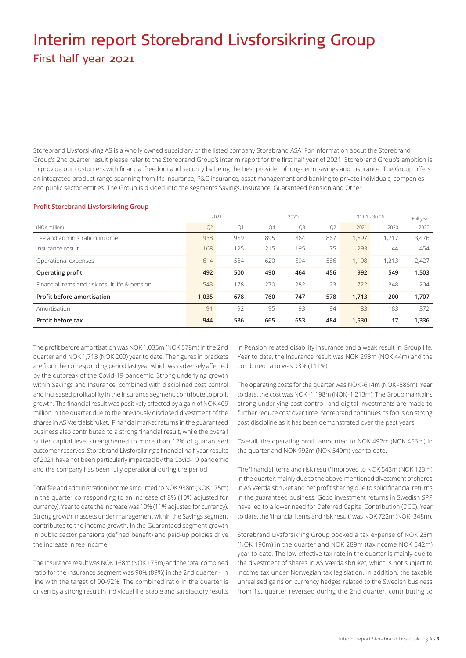## Interim report Storebrand Livsforsikring Group First half year 2021

Storebrand Livsforsikring AS is a wholly owned subsidiary of the listed company Storebrand ASA. For information about the Storebrand Group's 2nd quarter result please refer to the Storebrand Group's interim report for the first half year of 2021. Storebrand Group's ambition is to provide our customers with financial freedom and security by being the best provider of long-term savings and insurance. The Group offers an integrated product range spanning from life insurance, P&C insurance, asset management and banking to private individuals, companies and public sector entities. The Group is divided into the segments Savings, Insurance, Guaranteed Pension and Other.

## **Profit Storebrand Livsforsikring Group**

|                                                | 2021   |        |        | 2020   |       | $01.01 - 30.06$ |          | Full year |
|------------------------------------------------|--------|--------|--------|--------|-------|-----------------|----------|-----------|
| (NOK million)                                  | Q2     | Q1     | Q4     | Q3     | Q2    | 2021            | 2020     | 2020      |
| Fee and administration income                  | 938    | 959    | 895    | 864    | 867   | 1.897           | 1.717    | 3,476     |
| Insurance result                               | 168    | 125    | 215    | 195    | 175   | 293             | 44       | 454       |
| Operational expenses                           | $-614$ | $-584$ | $-620$ | $-594$ | -586  | $-1.198$        | $-1,213$ | $-2,427$  |
| Operating profit                               | 492    | 500    | 490    | 464    | 456   | 992             | 549      | 1,503     |
| Financial items and risk result life & pension | 543    | 178    | 270    | 282    | 123   | 722             | $-348$   | 204       |
| Profit before amortisation                     | 1,035  | 678    | 760    | 747    | 578   | 1,713           | 200      | 1,707     |
| Amortisation                                   | $-91$  | $-92$  | $-95$  | -93    | $-94$ | $-183$          | $-183$   | $-372$    |
| Profit before tax                              | 944    | 586    | 665    | 653    | 484   | 1,530           | 17       | 1,336     |

The profit before amortisation was NOK 1,035m (NOK 578m) in the 2nd quarter and NOK 1,713 (NOK 200) year to date. The figures in brackets are from the corresponding period last year which was adversely affected by the outbreak of the Covid-19 pandemic. Strong underlying growth within Savings and Insurance, combined with disciplined cost control and increased profitability in the Insurance segment, contribute to profit growth. The financial result was positively affected by a gain of NOK 409 million in the quarter due to the previously disclosed divestment of the shares in AS Værdalsbruket. Financial market returns in the guaranteed business also contributed to a strong financial result, while the overall buffer capital level strengthened to more than 12% of guaranteed customer reserves. Storebrand Livsforsikring's financial half-year results of 2021 have not been particularly impacted by the Covid-19 pandemic and the company has been fully operational during the period.

Total fee and administration income amounted to NOK 938m (NOK 175m) in the quarter corresponding to an increase of 8% (10% adjusted for currency). Year to date the increase was 10% (11% adjusted for currency). Strong growth in assets under management within the Savings segment contributes to the income growth. In the Guaranteed segment growth in public sector pensions (defined benefit) and paid-up policies drive the increase in fee income.

The Insurance result was NOK 168m (NOK 175m) and the total combined ratio for the Insurance segment was 90% (89%) in the 2nd quarter – in line with the target of 90-92%. The combined ratio in the quarter is driven by a strong result in Individual life, stable and satisfactory results in Pension related disability insurance and a weak result in Group life. Year to date, the Insurance result was NOK 293m (NOK 44m) and the combined ratio was 93% (111%).

The operating costs for the quarter was NOK -614m (NOK -586m). Year to date, the cost was NOK -1,198m (NOK -1,213m). The Group maintains strong underlying cost control, and digital investments are made to further reduce cost over time. Storebrand continues its focus on strong cost discipline as it has been demonstrated over the past years.

Overall, the operating profit amounted to NOK 492m (NOK 456m) in the quarter and NOK 992m (NOK 549m) year to date.

The 'financial items and risk result' improved to NOK 543m (NOK 123m) in the quarter, mainly due to the above-mentioned divestment of shares in AS Værdalsbruket and net profit sharing due to solid financial returns in the guaranteed business. Good investment returns in Swedish SPP have led to a lower need for Deferred Capital Contribution (DCC). Year to date, the 'financial items and risk result' was NOK 722m (NOK -348m).

Storebrand Livsforsikring Group booked a tax expense of NOK 23m (NOK 190m) in the quarter and NOK 289m (taxincome NOK 542m) year to date. The low effective tax rate in the quarter is mainly due to the divestment of shares in AS Værdalsbruket, which is not subject to income tax under Norwegian tax legislation. In addition, the taxable unrealised gains on currency hedges related to the Swedish business from 1st quarter reversed during the 2nd quarter, contributing to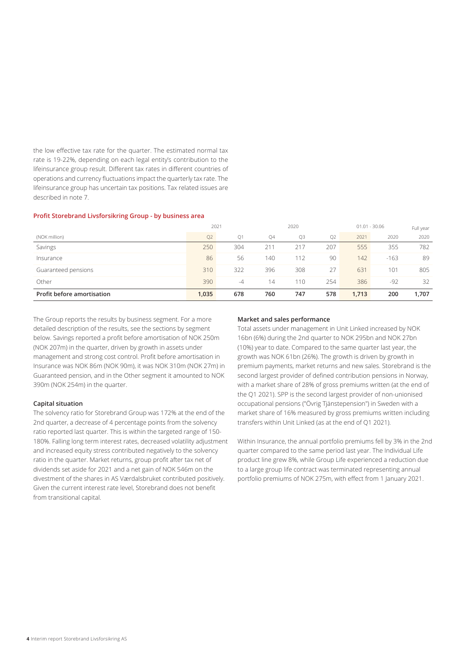the low effective tax rate for the quarter. The estimated normal tax rate is 19-22%, depending on each legal entity's contribution to the lifeinsurance group result. Different tax rates in different countries of operations and currency fluctuations impact the quarterly tax rate. The lifeinsurance group has uncertain tax positions. Tax related issues are described in note 7.

#### **Profit Storebrand Livsforsikring Group - by business area**

|                            | 2021  |     |     | 2020 |     |       | $01.01 - 30.06$ | Full year |
|----------------------------|-------|-----|-----|------|-----|-------|-----------------|-----------|
| (NOK million)              | Q2    | Q1  | Q4  | Q3   | Q2  | 2021  | 2020            | 2020      |
| Savings                    | 250   | 304 | 211 | 217  | 207 | 555   | 355             | 782       |
| Insurance                  | 86    | 56  | 140 | 112  | 90  | 142   | $-163$          | 89        |
| Guaranteed pensions        | 310   | 322 | 396 | 308  | 27  | 631   | 101             | 805       |
| Other                      | 390   | -4  | 14  | 110  | 254 | 386   | $-92$           | 32        |
| Profit before amortisation | 1,035 | 678 | 760 | 747  | 578 | 1,713 | 200             | 1,707     |

The Group reports the results by business segment. For a more detailed description of the results, see the sections by segment below. Savings reported a profit before amortisation of NOK 250m (NOK 207m) in the quarter, driven by growth in assets under management and strong cost control. Profit before amortisation in Insurance was NOK 86m (NOK 90m), it was NOK 310m (NOK 27m) in Guaranteed pension, and in the Other segment it amounted to NOK 390m (NOK 254m) in the quarter.

## **Capital situation**

The solvency ratio for Storebrand Group was 172% at the end of the 2nd quarter, a decrease of 4 percentage points from the solvency ratio reported last quarter. This is within the targeted range of 150- 180%. Falling long term interest rates, decreased volatility adjustment and increased equity stress contributed negatively to the solvency ratio in the quarter. Market returns, group profit after tax net of dividends set aside for 2021 and a net gain of NOK 546m on the divestment of the shares in AS Værdalsbruket contributed positively. Given the current interest rate level, Storebrand does not benefit from transitional capital.

### **Market and sales performance**

Total assets under management in Unit Linked increased by NOK 16bn (6%) during the 2nd quarter to NOK 295bn and NOK 27bn (10%) year to date. Compared to the same quarter last year, the growth was NOK 61bn (26%). The growth is driven by growth in premium payments, market returns and new sales. Storebrand is the second largest provider of defined contribution pensions in Norway, with a market share of 28% of gross premiums written (at the end of the Q1 2021). SPP is the second largest provider of non-unionised occupational pensions ("Övrig Tjänstepension") in Sweden with a market share of 16% measured by gross premiums written including transfers within Unit Linked (as at the end of Q1 2021).

Within Insurance, the annual portfolio premiums fell by 3% in the 2nd quarter compared to the same period last year. The Individual Life product line grew 8%, while Group Life experienced a reduction due to a large group life contract was terminated representing annual portfolio premiums of NOK 275m, with effect from 1 January 2021.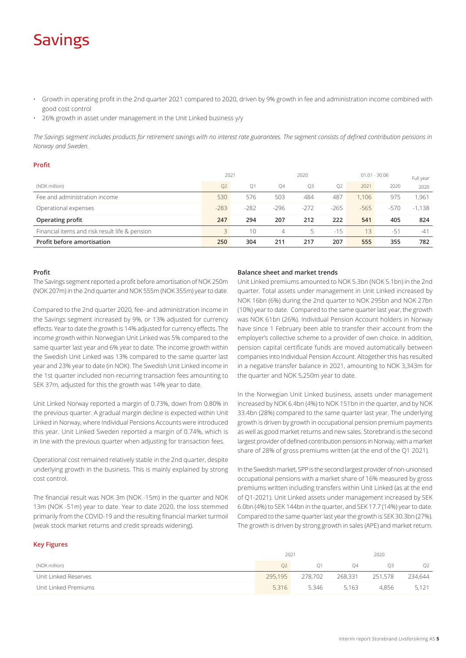## Savings

- Growth in operating profit in the 2nd quarter 2021 compared to 2020, driven by 9% growth in fee and administration income combined with good cost control
- 26% growth in asset under management in the Unit Linked business y/y

*The Savings segment includes products for retirement savings with no interest rate guarantees. The segment consists of defined contribution pensions in Norway and Sweden.* 

| <b>Profit</b> |  |  |
|---------------|--|--|
| (NOK million) |  |  |

|                                                | 2021           |                |           | 2020           |                | $01.01 - 30.06$ |        | Full year |
|------------------------------------------------|----------------|----------------|-----------|----------------|----------------|-----------------|--------|-----------|
| (NOK million)                                  | O <sub>2</sub> | O <sub>1</sub> | <b>04</b> | O <sub>3</sub> | O <sub>2</sub> | 2021            | 2020   | 2020      |
| Fee and administration income                  | 530            | 576            | 503       | 484            | 487            | 1.106           | 975    | 1.961     |
| Operational expenses                           | $-283$         | $-282$         | $-296$    | $-272$         | $-265$         | $-565$          | $-570$ | $-1.138$  |
| Operating profit                               | 247            | 294            | 207       | 212            | 222            | 541             | 405    | 824       |
| Financial items and risk result life & pension |                | 10             | 4         | 5              | $-15$          | 13              | $-51$  | $-41$     |
| <b>Profit before amortisation</b>              | 250            | 304            | 211       | 217            | 207            | 555             | 355    | 782       |

## **Profit**

The Savings segment reported a profit before amortisation of NOK 250m (NOK 207m) in the 2nd quarter and NOK 555m (NOK 355m) year to date.

Compared to the 2nd quarter 2020, fee- and administration income in the Savings segment increased by 9%, or 13% adjusted for currency effects. Year to date the growth is 14% adjusted for currency effects. The income growth within Norwegian Unit Linked was 5% compared to the same quarter last year and 6% year to date. The income growth within the Swedish Unit Linked was 13% compared to the same quarter last year and 23% year to date (in NOK). The Swedish Unit Linked income in the 1st quarter included non-recurring transaction fees amounting to SEK 37m, adjusted for this the growth was 14% year to date.

Unit Linked Norway reported a margin of 0.73%, down from 0.80% in the previous quarter. A gradual margin decline is expected within Unit Linked in Norway, where Individual Pensions Accounts were introduced this year. Unit Linked Sweden reported a margin of 0.74%, which is in line with the previous quarter when adjusting for transaction fees.

Operational cost remained relatively stable in the 2nd quarter, despite underlying growth in the business. This is mainly explained by strong cost control.

The financial result was NOK 3m (NOK -15m) in the quarter and NOK 13m (NOK -51m) year to date. Year to date 2020, the loss stemmed primarily from the COVID-19 and the resulting financial market turmoil (weak stock market returns and credit spreads widening).

## **Balance sheet and market trends**

Unit Linked premiums amounted to NOK 5.3bn (NOK 5.1bn) in the 2nd quarter. Total assets under management in Unit Linked increased by NOK 16bn (6%) during the 2nd quarter to NOK 295bn and NOK 27bn (10%) year to date. Compared to the same quarter last year, the growth was NOK 61bn (26%). Individual Pension Account holders in Norway have since 1 February been able to transfer their account from the employer's collective scheme to a provider of own choice. In addition, pension capital certificate funds are moved automatically between companies into Individual Pension Account. Altogether this has resulted in a negative transfer balance in 2021, amounting to NOK 3,343m for the quarter and NOK 5,250m year to date.

In the Norwegian Unit Linked business, assets under management increased by NOK 6.4bn (4%) to NOK 151bn in the quarter, and by NOK 33.4bn (28%) compared to the same quarter last year. The underlying growth is driven by growth in occupational pension premium payments as well as good market returns and new sales. Storebrand is the second largest provider of defined contribution pensions in Norway, with a market share of 28% of gross premiums written (at the end of the Q1 2021).

In the Swedish market, SPP is the second largest provider of non-unionised occupational pensions with a market share of 16% measured by gross premiums written including transfers within Unit Linked (as at the end of Q1-2021). Unit Linked assets under management increased by SEK 6.0bn (4%) to SEK 144bn in the quarter, and SEK 17.7 (14%) year to date. Compared to the same quarter last year the growth is SEK 30.3bn (27%). The growth is driven by strong growth in sales (APE) and market return.

## **Key Figures**

|                      | 2021           |                |         | 2020    |                |
|----------------------|----------------|----------------|---------|---------|----------------|
| (NOK million)        | O <sub>2</sub> | O <sub>1</sub> | 04      | OЗ      | O <sub>2</sub> |
| Unit Linked Reserves | 295,195        | 278,702        | 268.331 | 251.578 | 234,644        |
| Unit Linked Premiums | 5.316          | 5.346          | 5.163   | 4.856   | 5,121          |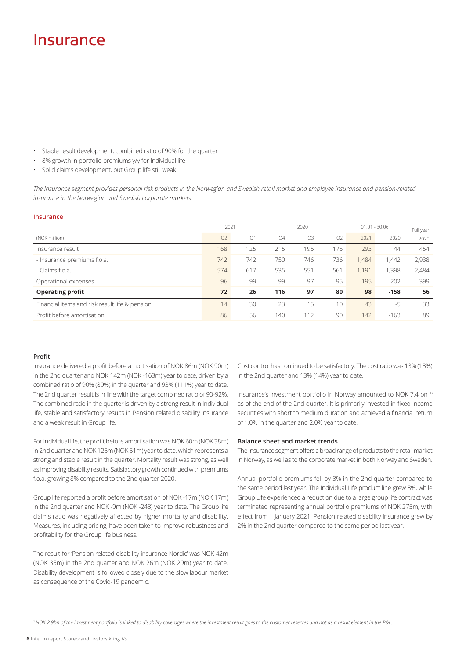## Insurance

- Stable result development, combined ratio of 90% for the quarter
- 8% growth in portfolio premiums y/y for Individual life
- Solid claims development, but Group life still weak

*The Insurance segment provides personal risk products in the Norwegian and Swedish retail market and employee insurance and pension-related insurance in the Norwegian and Swedish corporate markets.*

### **Insurance**

|                                                | 2021   |        |        | 2020   |                |          | $01.01 - 30.06$ | Full year |
|------------------------------------------------|--------|--------|--------|--------|----------------|----------|-----------------|-----------|
| (NOK million)                                  | Q2     | Q1     | Q4     | Q3     | O <sub>2</sub> | 2021     | 2020            | 2020      |
| Insurance result                               | 168    | 125    | 215    | 195    | 175            | 293      | 44              | 454       |
| - Insurance premiums f.o.a.                    | 742    | 742    | 750    | 746    | 736            | 1.484    | .442            | 2,938     |
| - Claims f.o.a.                                | $-574$ | $-617$ | $-535$ | $-551$ | $-561$         | $-1,191$ | $-1,398$        | $-2,484$  |
| Operational expenses                           | $-96$  | -99    | -99    | $-97$  | $-95$          | $-195$   | $-202$          | $-399$    |
| <b>Operating profit</b>                        | 72     | 26     | 116    | 97     | 80             | 98       | $-158$          | 56        |
| Financial items and risk result life & pension | 14     | 30     | 23     | 15     | 10             | 43       | $-5$            | 33        |
| Profit before amortisation                     | 86     | 56     | 140    | 112    | 90             | 142      | $-163$          | 89        |

## **Profit**

Insurance delivered a profit before amortisation of NOK 86m (NOK 90m) in the 2nd quarter and NOK 142m (NOK -163m) year to date, driven by a combined ratio of 90% (89%) in the quarter and 93% (111%) year to date. The 2nd quarter result is in line with the target combined ratio of 90-92%. The combined ratio in the quarter is driven by a strong result in Individual life, stable and satisfactory results in Pension related disability insurance and a weak result in Group life.

For Individual life, the profit before amortisation was NOK 60m (NOK 38m) in 2nd quarter and NOK 125m (NOK 51m) year to date, which represents a strong and stable result in the quarter. Mortality result was strong, as well as improving disability results. Satisfactory growth continued with premiums f.o.a. growing 8% compared to the 2nd quarter 2020.

Group life reported a profit before amortisation of NOK -17m (NOK 17m) in the 2nd quarter and NOK -9m (NOK -243) year to date. The Group life claims ratio was negatively affected by higher mortality and disability. Measures, including pricing, have been taken to improve robustness and profitability for the Group life business.

The result for 'Pension related disability insurance Nordic' was NOK 42m (NOK 35m) in the 2nd quarter and NOK 26m (NOK 29m) year to date. Disability development is followed closely due to the slow labour market as consequence of the Covid-19 pandemic.

Cost control has continued to be satisfactory. The cost ratio was 13% (13%) in the 2nd quarter and 13% (14%) year to date.

Insurance's investment portfolio in Norway amounted to NOK 7,4 bn 1) as of the end of the 2nd quarter. It is primarily invested in fixed income securities with short to medium duration and achieved a financial return of 1.0% in the quarter and 2.0% year to date.

### **Balance sheet and market trends**

The Insurance segment offers a broad range of products to the retail market in Norway, as well as to the corporate market in both Norway and Sweden.

Annual portfolio premiums fell by 3% in the 2nd quarter compared to the same period last year. The Individual Life product line grew 8%, while Group Life experienced a reduction due to a large group life contract was terminated representing annual portfolio premiums of NOK 275m, with effect from 1 January 2021. Pension related disability insurance grew by 2% in the 2nd quarter compared to the same period last year.

1 *NOK 2.9bn of the investment portfolio is linked to disability coverages where the investment result goes to the customer reserves and not as a result element in the P&L.*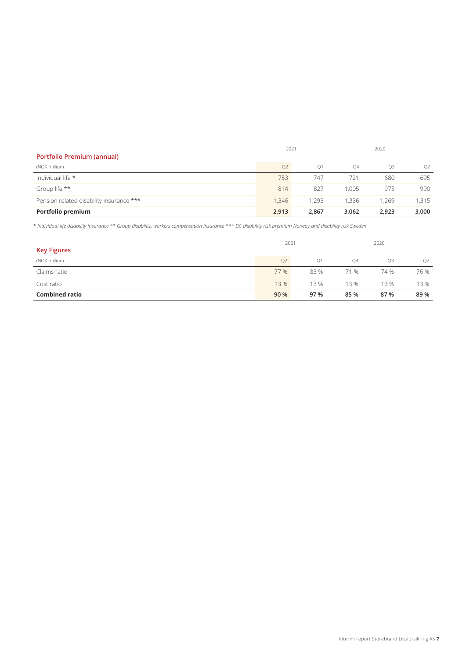|                                          | 2021           |       |       | 2020  |       |  |
|------------------------------------------|----------------|-------|-------|-------|-------|--|
| <b>Portfolio Premium (annual)</b>        |                |       |       |       |       |  |
| (NOK million)                            | O <sub>2</sub> | O1    | Q4    | O3    | Q2    |  |
| Individual life *                        | 753            | 747   | 721   | 680   | 695   |  |
| Group life **                            | 814            | 827   | 1.005 | 975   | 990   |  |
| Pension related disability insurance *** | 1.346          | 1.293 | .336  | 1.269 | 1,315 |  |
| Portfolio premium                        | 2,913          | 2,867 | 3,062 | 2.923 | 3,000 |  |

\* *Individual life disability insurance \*\* Group disability, workers compensation insurance \*\*\* DC disability risk premium Norway and disability risk Sweden*

| <b>Key Figures</b>    | 2021           |                |      | 2020 |      |
|-----------------------|----------------|----------------|------|------|------|
| (NOK million)         | O <sub>2</sub> | O <sub>1</sub> | Q4   | O3   | Q2   |
| Claims ratio          | 77 %           | 83%            | 71 % | 74 % | 76 % |
| Cost ratio            | 13 %           | 13 %           | 13%  | 13 % | 13 % |
| <b>Combined ratio</b> | 90 %           | 97 %           | 85 % | 87 % | 89 % |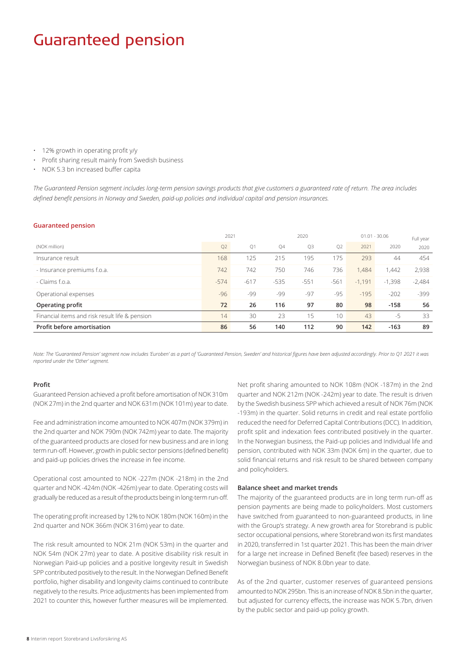## Guaranteed pension

- 12% growth in operating profit y/y
- Profit sharing result mainly from Swedish business
- NOK 5.3 bn increased buffer capita

*The Guaranteed Pension segment includes long-term pension savings products that give customers a guaranteed rate of return. The area includes defined benefit pensions in Norway and Sweden, paid-up policies and individual capital and pension insurances.*

#### **Guaranteed pension**

|                                                | 2021   |        |        | 2020   |                |          | $01.01 - 30.06$ | Full year |
|------------------------------------------------|--------|--------|--------|--------|----------------|----------|-----------------|-----------|
| (NOK million)                                  | Q2     | Q1     | Q4     | Q3     | Q <sub>2</sub> | 2021     | 2020            | 2020      |
| Insurance result                               | 168    | 125    | 215    | 195    | 175            | 293      | 44              | 454       |
| - Insurance premiums f.o.a.                    | 742    | 742    | 750    | 746    | 736            | 1.484    | 1,442           | 2,938     |
| - Claims f.o.a.                                | $-574$ | $-617$ | $-535$ | $-551$ | $-561$         | $-1.191$ | $-1.398$        | $-2,484$  |
| Operational expenses                           | $-96$  | -99    | -99    | $-97$  | $-95$          | $-195$   | $-202$          | $-399$    |
| Operating profit                               | 72     | 26     | 116    | 97     | 80             | 98       | $-158$          | 56        |
| Financial items and risk result life & pension | 14     | 30     | 23     | 15     | 10             | 43       | $-5$            | 33        |
| Profit before amortisation                     | 86     | 56     | 140    | 112    | 90             | 142      | $-163$          | 89        |

*Note: The 'Guaranteed Pension' segment now includes 'Euroben' as a part of 'Guaranteed Pension, Sweden' and historical figures have been adjusted accordingly. Prior to Q1 2021 it was reported under the 'Other' segment.* 

#### **Profit**

Guaranteed Pension achieved a profit before amortisation of NOK 310m (NOK 27m) in the 2nd quarter and NOK 631m (NOK 101m) year to date.

Fee and administration income amounted to NOK 407m (NOK 379m) in the 2nd quarter and NOK 790m (NOK 742m) year to date. The majority of the guaranteed products are closed for new business and are in long term run-off. However, growth in public sector pensions (defined benefit) and paid-up policies drives the increase in fee income.

Operational cost amounted to NOK -227m (NOK -218m) in the 2nd quarter and NOK -424m (NOK -426m) year to date. Operating costs will gradually be reduced as a result of the products being in long-term run-off.

The operating profit increased by 12% to NOK 180m (NOK 160m) in the 2nd quarter and NOK 366m (NOK 316m) year to date.

The risk result amounted to NOK 21m (NOK 53m) in the quarter and NOK 54m (NOK 27m) year to date. A positive disability risk result in Norwegian Paid-up policies and a positive longevity result in Swedish SPP contributed positively to the result. In the Norwegian Defined Benefit portfolio, higher disability and longevity claims continued to contribute negatively to the results. Price adjustments has been implemented from 2021 to counter this, however further measures will be implemented.

Net profit sharing amounted to NOK 108m (NOK -187m) in the 2nd quarter and NOK 212m (NOK -242m) year to date. The result is driven by the Swedish business SPP which achieved a result of NOK 76m (NOK -193m) in the quarter. Solid returns in credit and real estate portfolio reduced the need for Deferred Capital Contributions (DCC). In addition, profit split and indexation fees contributed positively in the quarter. In the Norwegian business, the Paid-up policies and Individual life and pension, contributed with NOK 33m (NOK 6m) in the quarter, due to solid financial returns and risk result to be shared between company and policyholders.

#### **Balance sheet and market trends**

The majority of the guaranteed products are in long term run-off as pension payments are being made to policyholders. Most customers have switched from guaranteed to non-guaranteed products, in line with the Group's strategy. A new growth area for Storebrand is public sector occupational pensions, where Storebrand won its first mandates in 2020, transferred in 1st quarter 2021. This has been the main driver for a large net increase in Defined Benefit (fee based) reserves in the Norwegian business of NOK 8.0bn year to date.

As of the 2nd quarter, customer reserves of guaranteed pensions amounted to NOK 295bn. This is an increase of NOK 8.5bn in the quarter, but adjusted for currency effects, the increase was NOK 5.7bn, driven by the public sector and paid-up policy growth.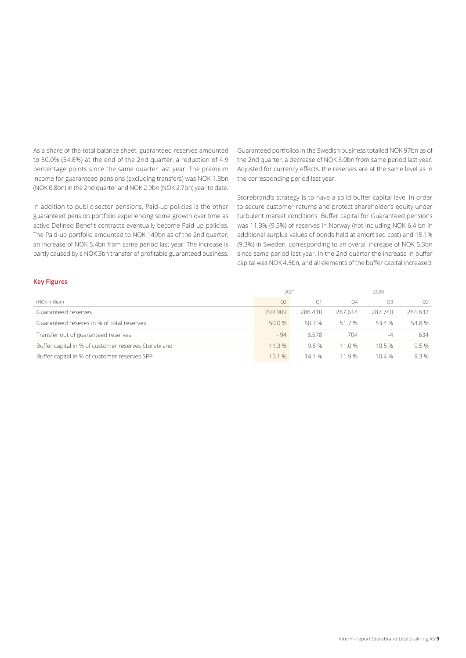As a share of the total balance sheet, guaranteed reserves amounted to 50.0% (54.8%) at the end of the 2nd quarter, a reduction of 4.9 percentage points since the same quarter last year. The premium income for guaranteed pensions (excluding transfers) was NOK 1.3bn (NOK 0.8bn) in the 2nd quarter and NOK 2.9bn (NOK 2.7bn) year to date.

In addition to public sector pensions, Paid-up policies is the other guaranteed pension portfolio experiencing some growth over time as active Defined Benefit contracts eventually become Paid-up policies. The Paid-up portfolio amounted to NOK 149bn as of the 2nd quarter, an increase of NOK 5.4bn from same period last year. The increase is partly caused by a NOK 3bn transfer of profitable guaranteed business.

Guaranteed portfolios in the Swedish business totalled NOK 97bn as of the 2nd quarter, a decrease of NOK 3.0bn from same period last year. Adjusted for currency effects, the reserves are at the same level as in the corresponding period last year.

Storebrand's strategy is to have a solid buffer capital level in order to secure customer returns and protect shareholder's equity under turbulent market conditions. Buffer capital for Guaranteed pensions was 11.3% (9.5%) of reserves in Norway (not including NOK 6.4 bn in additional surplus values of bonds held at amortised cost) and 15.1% (9.3%) in Sweden, corresponding to an overall increase of NOK 5.3bn since same period last year. In the 2nd quarter the increase in buffer capital was NOK 4.5bn, and all elements of the buffer capital increased.

## **Key Figures**

|                                                     | 2021           |        |                | 2020    |        |
|-----------------------------------------------------|----------------|--------|----------------|---------|--------|
| (NOK million)                                       | Q <sub>2</sub> | O1     | O <sub>4</sub> | O3      | Q2     |
| Guaranteed reserves                                 | 294 909        | 286410 | 287 614        | 287 740 | 284832 |
| Guaranteed reseves in % of total reserves           | 50.0 %         | 50.7 % | 51.7 %         | 53.4 %  | 54.8%  |
| Transfer out of guaranteed reserves                 | $-94$          | 6.578  | 704            | $-4$    | 634    |
| Buffer capital in % of customer reserves Storebrand | 11.3 %         | 9.8%   | 11.0%          | 10.5%   | 9.5%   |
| Buffer capital in % of customer reserves SPP        | 15.1 %         | 14.1 % | 11.9 %         | 10.4%   | 9.3%   |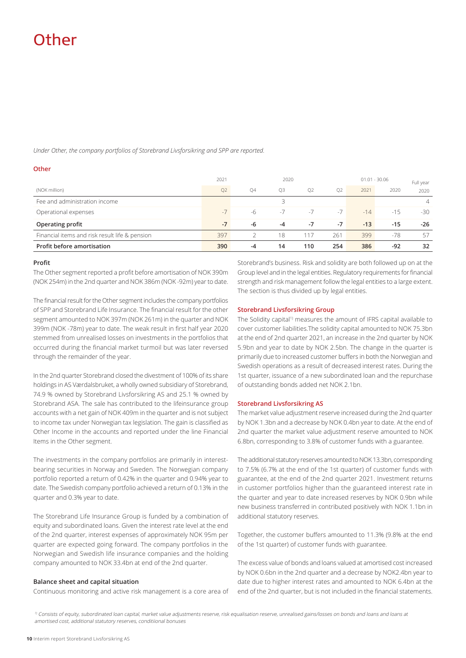## Other

*Under Other, the company portfolios of Storebrand Livsforsikring and SPP are reported.*

### **Other**

|                                                | 2021           |    | 2020      |                |                |       | $01.01 - 30.06$ | Full year      |
|------------------------------------------------|----------------|----|-----------|----------------|----------------|-------|-----------------|----------------|
| (NOK million)                                  | Q <sub>2</sub> | 04 | <b>O3</b> | O <sub>2</sub> | O <sub>2</sub> | 2021  | 2020            | 2020           |
| Fee and administration income                  |                |    |           |                |                |       |                 | $\overline{4}$ |
| Operational expenses                           | $-$ /          | -6 | $-1$      | $-7$           | $-7$           | $-14$ | $-1.5$          | $-30$          |
| Operating profit                               | $-7$           | -6 | -4        | $-7$           | -7             | $-13$ | $-15$           | $-26$          |
| Financial items and risk result life & pension | 397            |    | 18        | 17             | 261            | 399   | $-78$           | 57             |
| Profit before amortisation                     | 390            | -4 | 14        | 110            | 254            | 386   | $-92$           | 32             |

### **Profit**

The Other segment reported a profit before amortisation of NOK 390m (NOK 254m) in the 2nd quarter and NOK 386m (NOK -92m) year to date.

The financial result for the Other segment includes the company portfolios of SPP and Storebrand Life Insurance. The financial result for the other segment amounted to NOK 397m (NOK 261m) in the quarter and NOK 399m (NOK -78m) year to date. The weak result in first half year 2020 stemmed from unrealised losses on investments in the portfolios that occurred during the financial market turmoil but was later reversed through the remainder of the year.

In the 2nd quarter Storebrand closed the divestment of 100% of its share holdings in AS Værdalsbruket, a wholly owned subsidiary of Storebrand, 74.9 % owned by Storebrand Livsforsikring AS and 25.1 % owned by Storebrand ASA. The sale has contributed to the lifeinsurance group accounts with a net gain of NOK 409m in the quarter and is not subject to income tax under Norwegian tax legislation. The gain is classified as Other Income in the accounts and reported under the line Financial Items in the Other segment.

The investments in the company portfolios are primarily in interestbearing securities in Norway and Sweden. The Norwegian company portfolio reported a return of 0.42% in the quarter and 0.94% year to date. The Swedish company portfolio achieved a return of 0.13% in the quarter and 0.3% year to date.

The Storebrand Life Insurance Group is funded by a combination of equity and subordinated loans. Given the interest rate level at the end of the 2nd quarter, interest expenses of approximately NOK 95m per quarter are expected going forward. The company portfolios in the Norwegian and Swedish life insurance companies and the holding company amounted to NOK 33.4bn at end of the 2nd quarter.

## **Balance sheet and capital situation**

Continuous monitoring and active risk management is a core area of

Storebrand's business. Risk and solidity are both followed up on at the Group level and in the legal entities. Regulatory requirements for financial strength and risk management follow the legal entities to a large extent. The section is thus divided up by legal entities.

### **Storebrand Livsforsikring Group**

The Solidity capital<sup>1)</sup> measures the amount of IFRS capital available to cover customer liabilities.The solidity capital amounted to NOK 75.3bn at the end of 2nd quarter 2021, an increase in the 2nd quarter by NOK 5.9bn and year to date by NOK 2.5bn. The change in the quarter is primarily due to increased customer buffers in both the Norwegian and Swedish operations as a result of decreased interest rates. During the 1st quarter, issuance of a new subordinated loan and the repurchase of outstanding bonds added net NOK 2.1bn.

#### **Storebrand Livsforsikring AS**

The market value adjustment reserve increased during the 2nd quarter by NOK 1.3bn and a decrease by NOK 0.4bn year to date. At the end of 2nd quarter the market value adjustment reserve amounted to NOK 6.8bn, corresponding to 3.8% of customer funds with a guarantee.

The additional statutory reserves amounted to NOK 13.3bn, corresponding to 7.5% (6.7% at the end of the 1st quarter) of customer funds with guarantee, at the end of the 2nd quarter 2021. Investment returns in customer portfolios higher than the guaranteed interest rate in the quarter and year to date increased reserves by NOK 0.9bn while new business transferred in contributed positively with NOK 1.1bn in additional statutory reserves.

Together, the customer buffers amounted to 11.3% (9.8% at the end of the 1st quarter) of customer funds with guarantee.

The excess value of bonds and loans valued at amortised cost increased by NOK 0.6bn in the 2nd quarter and a decrease by NOK2.4bn year to date due to higher interest rates and amounted to NOK 6.4bn at the end of the 2nd quarter, but is not included in the financial statements.

<sup>1)</sup> Consists of equity, subordinated loan capital, market value adjustments reserve, risk equalisation reserve, unrealised gains/losses on bonds and loans and loans at amortised cost, additional statutory reserves, conditiional bonuses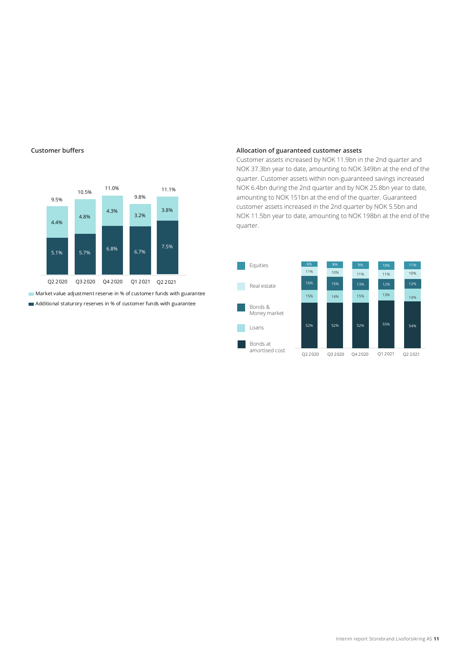

**Market value adjustment reserve in % of customer funds with guarantee** Additional staturory reserves in % of customer funds with guarantee

### **Customer buffers Allocation of guaranteed customer assets**

Customer assets increased by NOK 11.9bn in the 2nd quarter and NOK 37.3bn year to date, amounting to NOK 349bn at the end of the quarter. Customer assets within non-guaranteed savings increased NOK 6.4bn during the 2nd quarter and by NOK 25.8bn year to date, amounting to NOK 151bn at the end of the quarter. Guaranteed customer assets increased in the 2nd quarter by NOK 5.5bn and NOK 11.5bn year to date, amounting to NOK 198bn at the end of the quarter.

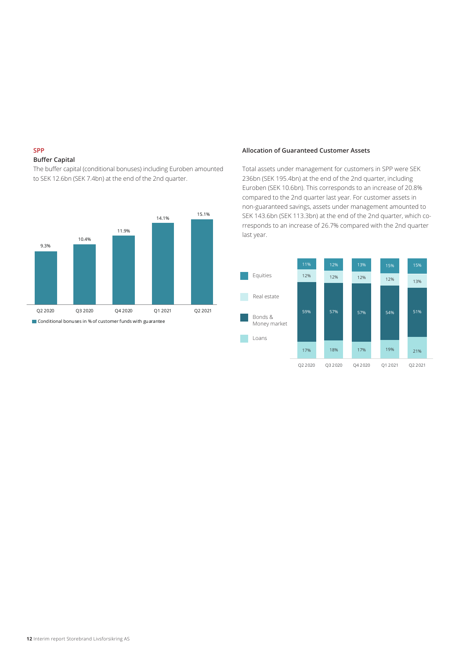## **SPP**

## **Buffer Capital**

The buffer capital (conditional bonuses) including Euroben amounted to SEK 12.6bn (SEK 7.4bn) at the end of the 2nd quarter.



#### **Allocation of Guaranteed Customer Assets**

Total assets under management for customers in SPP were SEK 236bn (SEK 195.4bn) at the end of the 2nd quarter, including Euroben (SEK 10.6bn). This corresponds to an increase of 20.8% compared to the 2nd quarter last year. For customer assets in non-guaranteed savings, assets under management amounted to SEK 143.6bn (SEK 113.3bn) at the end of the 2nd quarter, which corresponds to an increase of 26.7% compared with the 2nd quarter last year.

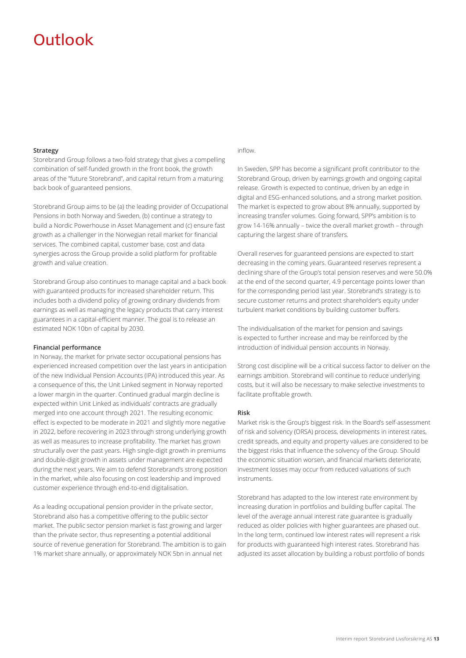## Outlook

### **Strategy**

Storebrand Group follows a two-fold strategy that gives a compelling combination of self-funded growth in the front book, the growth areas of the "future Storebrand", and capital return from a maturing back book of guaranteed pensions.

Storebrand Group aims to be (a) the leading provider of Occupational Pensions in both Norway and Sweden, (b) continue a strategy to build a Nordic Powerhouse in Asset Management and (c) ensure fast growth as a challenger in the Norwegian retail market for financial services. The combined capital, customer base, cost and data synergies across the Group provide a solid platform for profitable growth and value creation.

Storebrand Group also continues to manage capital and a back book with guaranteed products for increased shareholder return. This includes both a dividend policy of growing ordinary dividends from earnings as well as managing the legacy products that carry interest guarantees in a capital-efficient manner. The goal is to release an estimated NOK 10bn of capital by 2030.

### **Financial performance**

In Norway, the market for private sector occupational pensions has experienced increased competition over the last years in anticipation of the new Individual Pension Accounts (IPA) introduced this year. As a consequence of this, the Unit Linked segment in Norway reported a lower margin in the quarter. Continued gradual margin decline is expected within Unit Linked as individuals' contracts are gradually merged into one account through 2021. The resulting economic effect is expected to be moderate in 2021 and slightly more negative in 2022, before recovering in 2023 through strong underlying growth as well as measures to increase profitability. The market has grown structurally over the past years. High single-digit growth in premiums and double-digit growth in assets under management are expected during the next years. We aim to defend Storebrand's strong position in the market, while also focusing on cost leadership and improved customer experience through end-to-end digitalisation.

As a leading occupational pension provider in the private sector, Storebrand also has a competitive offering to the public sector market. The public sector pension market is fast growing and larger than the private sector, thus representing a potential additional source of revenue generation for Storebrand. The ambition is to gain 1% market share annually, or approximately NOK 5bn in annual net

## inflow.

In Sweden, SPP has become a significant profit contributor to the Storebrand Group, driven by earnings growth and ongoing capital release. Growth is expected to continue, driven by an edge in digital and ESG-enhanced solutions, and a strong market position. The market is expected to grow about 8% annually, supported by increasing transfer volumes. Going forward, SPP's ambition is to grow 14-16% annually – twice the overall market growth – through capturing the largest share of transfers.

Overall reserves for guaranteed pensions are expected to start decreasing in the coming years. Guaranteed reserves represent a declining share of the Group's total pension reserves and were 50.0% at the end of the second quarter, 4.9 percentage points lower than for the corresponding period last year. Storebrand's strategy is to secure customer returns and protect shareholder's equity under turbulent market conditions by building customer buffers.

The individualisation of the market for pension and savings is expected to further increase and may be reinforced by the introduction of individual pension accounts in Norway.

Strong cost discipline will be a critical success factor to deliver on the earnings ambition. Storebrand will continue to reduce underlying costs, but it will also be necessary to make selective investments to facilitate profitable growth.

#### **Risk**

Market risk is the Group's biggest risk. In the Board's self-assessment of risk and solvency (ORSA) process, developments in interest rates, credit spreads, and equity and property values are considered to be the biggest risks that influence the solvency of the Group. Should the economic situation worsen, and financial markets deteriorate, investment losses may occur from reduced valuations of such instruments.

Storebrand has adapted to the low interest rate environment by increasing duration in portfolios and building buffer capital. The level of the average annual interest rate guarantee is gradually reduced as older policies with higher guarantees are phased out. In the long term, continued low interest rates will represent a risk for products with guaranteed high interest rates. Storebrand has adjusted its asset allocation by building a robust portfolio of bonds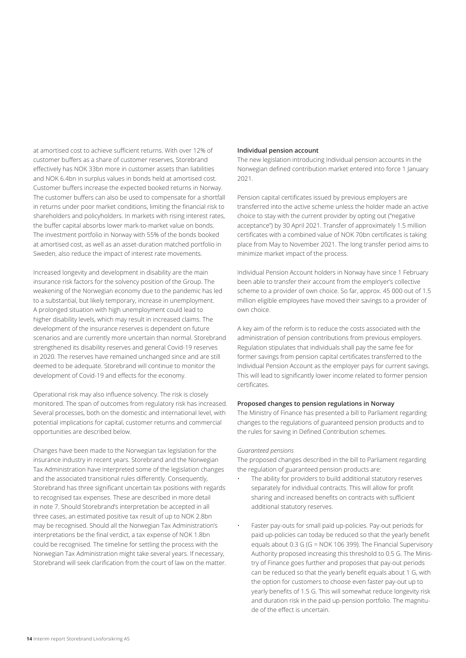at amortised cost to achieve sufficient returns. With over 12% of customer buffers as a share of customer reserves, Storebrand effectively has NOK 33bn more in customer assets than liabilities and NOK 6.4bn in surplus values in bonds held at amortised cost. Customer buffers increase the expected booked returns in Norway. The customer buffers can also be used to compensate for a shortfall in returns under poor market conditions, limiting the financial risk to shareholders and policyholders. In markets with rising interest rates, the buffer capital absorbs lower mark-to-market value on bonds. The investment portfolio in Norway with 55% of the bonds booked at amortised cost, as well as an asset-duration matched portfolio in Sweden, also reduce the impact of interest rate movements.

Increased longevity and development in disability are the main insurance risk factors for the solvency position of the Group. The weakening of the Norwegian economy due to the pandemic has led to a substantial, but likely temporary, increase in unemployment. A prolonged situation with high unemployment could lead to higher disability levels, which may result in increased claims. The development of the insurance reserves is dependent on future scenarios and are currently more uncertain than normal. Storebrand strengthened its disability reserves and general Covid-19 reserves in 2020. The reserves have remained unchanged since and are still deemed to be adequate. Storebrand will continue to monitor the development of Covid-19 and effects for the economy.

Operational risk may also influence solvency. The risk is closely monitored. The span of outcomes from regulatory risk has increased. Several processes, both on the domestic and international level, with potential implications for capital, customer returns and commercial opportunities are described below.

Changes have been made to the Norwegian tax legislation for the insurance industry in recent years. Storebrand and the Norwegian Tax Administration have interpreted some of the legislation changes and the associated transitional rules differently. Consequently, Storebrand has three significant uncertain tax positions with regards to recognised tax expenses. These are described in more detail in note 7. Should Storebrand's interpretation be accepted in all three cases, an estimated positive tax result of up to NOK 2.8bn may be recognised. Should all the Norwegian Tax Administration's interpretations be the final verdict, a tax expense of NOK 1.8bn could be recognised. The timeline for settling the process with the Norwegian Tax Administration might take several years. If necessary, Storebrand will seek clarification from the court of law on the matter.

## **Individual pension account**

The new legislation introducing Individual pension accounts in the Norwegian defined contribution market entered into force 1 January 2021.

Pension capital certificates issued by previous employers are transferred into the active scheme unless the holder made an active choice to stay with the current provider by opting out ("negative acceptance") by 30 April 2021. Transfer of approximately 1.5 million certificates with a combined value of NOK 70bn certificates is taking place from May to November 2021. The long transfer period aims to minimize market impact of the process.

Individual Pension Account holders in Norway have since 1 February been able to transfer their account from the employer's collective scheme to a provider of own choice. So far, approx. 45 000 out of 1.5 million eligible employees have moved their savings to a provider of own choice.

A key aim of the reform is to reduce the costs associated with the administration of pension contributions from previous employers. Regulation stipulates that individuals shall pay the same fee for former savings from pension capital certificates transferred to the Individual Pension Account as the employer pays for current savings. This will lead to significantly lower income related to former pension certificates.

## **Proposed changes to pension regulations in Norway**

The Ministry of Finance has presented a bill to Parliament regarding changes to the regulations of guaranteed pension products and to the rules for saving in Defined Contribution schemes.

### *Guaranteed pensions*

The proposed changes described in the bill to Parliament regarding the regulation of guaranteed pension products are:

- The ability for providers to build additional statutory reserves separately for individual contracts. This will allow for profit sharing and increased benefits on contracts with sufficient additional statutory reserves.
- Faster pay-outs for small paid up-policies. Pay-out periods for paid up-policies can today be reduced so that the yearly benefit equals about 0.3 G (G = NOK 106 399). The Financial Supervisory Authority proposed increasing this threshold to 0.5 G. The Ministry of Finance goes further and proposes that pay-out periods can be reduced so that the yearly benefit equals about 1 G, with the option for customers to choose even faster pay-out up to yearly benefits of 1.5 G. This will somewhat reduce longevity risk and duration risk in the paid up-pension portfolio. The magnitude of the effect is uncertain.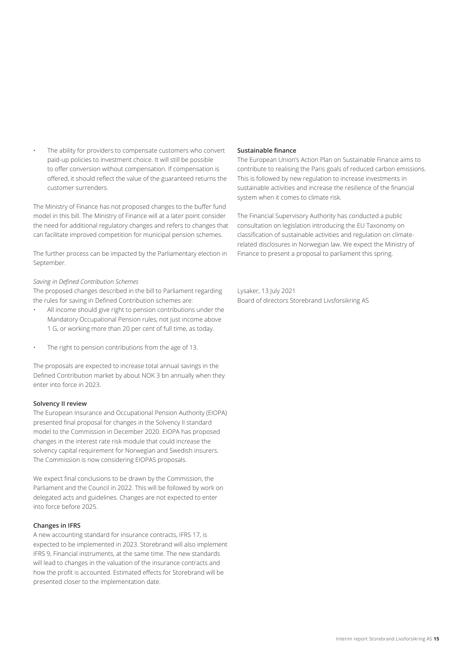The ability for providers to compensate customers who convert paid-up policies to investment choice. It will still be possible to offer conversion without compensation. If compensation is offered, it should reflect the value of the guaranteed returns the customer surrenders.

The Ministry of Finance has not proposed changes to the buffer fund model in this bill. The Ministry of Finance will at a later point consider the need for additional regulatory changes and refers to changes that can facilitate improved competition for municipal pension schemes.

The further process can be impacted by the Parliamentary election in September.

## *Saving in Defined Contribution Schemes*

The proposed changes described in the bill to Parliament regarding the rules for saving in Defined Contribution schemes are:

- All income should give right to pension contributions under the Mandatory Occupational Pension rules, not just income above 1 G, or working more than 20 per cent of full time, as today.
- The right to pension contributions from the age of 13.

The proposals are expected to increase total annual savings in the Defined Contribution market by about NOK 3 bn annually when they enter into force in 2023.

## **Solvency II review**

The European Insurance and Occupational Pension Authority (EIOPA) presented final proposal for changes in the Solvency II standard model to the Commission in December 2020. EIOPA has proposed changes in the interest rate risk module that could increase the solvency capital requirement for Norwegian and Swedish insurers. The Commission is now considering EIOPAS proposals.

We expect final conclusions to be drawn by the Commission, the Parliament and the Council in 2022. This will be followed by work on delegated acts and guidelines. Changes are not expected to enter into force before 2025.

## **Changes in IFRS**

A new accounting standard for insurance contracts, IFRS 17, is expected to be implemented in 2023. Storebrand will also implement IFRS 9, Financial instruments, at the same time. The new standards will lead to changes in the valuation of the insurance contracts and how the profit is accounted. Estimated effects for Storebrand will be presented closer to the implementation date.

## **Sustainable finance**

The European Union's Action Plan on Sustainable Finance aims to contribute to realising the Paris goals of reduced carbon emissions. This is followed by new regulation to increase investments in sustainable activities and increase the resilience of the financial system when it comes to climate risk.

The Financial Supervisory Authority has conducted a public consultation on legislation introducing the EU Taxonomy on classification of sustainable activities and regulation on climaterelated disclosures in Norwegian law. We expect the Ministry of Finance to present a proposal to parliament this spring.

Lysaker, 13 July 2021 Board of directors Storebrand Livsforsikring AS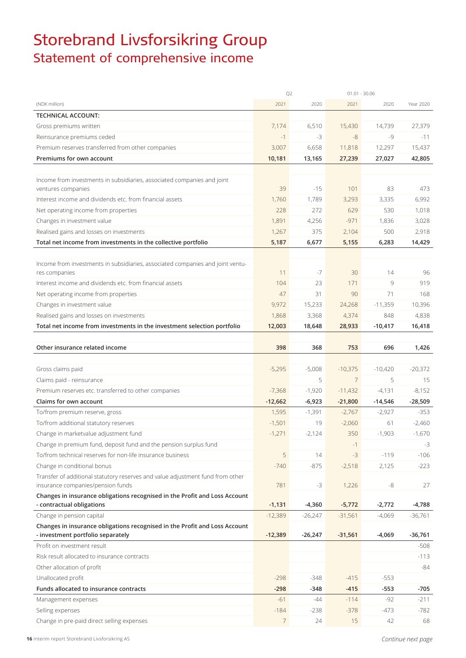## Storebrand Livsforsikring Group Statement of comprehensive income

|                                                                                | Q <sub>2</sub>  |           | $01.01 - 30.06$ |           |           |
|--------------------------------------------------------------------------------|-----------------|-----------|-----------------|-----------|-----------|
| (NOK million)                                                                  | 2021            | 2020      | 2021            | 2020      | Year 2020 |
| <b>TECHNICAL ACCOUNT:</b>                                                      |                 |           |                 |           |           |
| Gross premiums written                                                         | 7,174           | 6,510     | 15,430          | 14,739    | 27,379    |
| Reinsurance premiums ceded                                                     | $-1$            | -3        | $-8$            | $-9$      | $-11$     |
| Premium reserves transferred from other companies                              | 3,007           | 6,658     | 11,818          | 12,297    | 15,437    |
| Premiums for own account                                                       | 10,181          | 13,165    | 27,239          | 27,027    | 42,805    |
|                                                                                |                 |           |                 |           |           |
| Income from investments in subsidiaries, associated companies and joint        |                 |           |                 |           |           |
| ventures companies                                                             | 39              | $-15$     | 101             | 83        | 473       |
| Interest income and dividends etc. from financial assets                       | 1,760           | 1,789     | 3,293           | 3,335     | 6,992     |
| Net operating income from properties                                           | 228             | 272       | 629             | 530       | 1,018     |
| Changes in investment value                                                    | 1,891           | 4,256     | $-971$          | 1,836     | 3,028     |
| Realised gains and losses on investments                                       | 1,267           | 375       | 2,104           | 500       | 2,918     |
| Total net income from investments in the collective portfolio                  | 5,187           | 6,677     | 5,155           | 6,283     | 14,429    |
|                                                                                |                 |           |                 |           |           |
| Income from investments in subsidiaries, associated companies and joint ventu- |                 |           |                 |           |           |
| res companies                                                                  | 11              | $-7$      | 30              | 14        | 96        |
| Interest income and dividends etc. from financial assets                       | 104             | 23        | 171             | 9         | 919       |
| Net operating income from properties                                           | 47              | 31        | 90              | 71        | 168       |
| Changes in investment value                                                    | 9,972           | 15,233    | 24,268          | $-11,359$ | 10,396    |
| Realised gains and losses on investments                                       | 1,868           | 3,368     | 4,374           | 848       | 4,838     |
| Total net income from investments in the investment selection portfolio        | 12,003          | 18,648    | 28,933          | $-10,417$ | 16,418    |
|                                                                                |                 |           |                 |           |           |
| Other insurance related income                                                 | 398             | 368       | 753             | 696       | 1,426     |
|                                                                                |                 |           |                 |           |           |
| Gross claims paid                                                              | $-5,295$        | $-5,008$  | $-10,375$       | $-10,420$ | $-20,372$ |
| Claims paid - reinsurance                                                      |                 | 5         | $\overline{7}$  | 5         | 15        |
| Premium reserves etc. transferred to other companies                           | $-7,368$        | $-1,920$  | $-11,432$       | $-4,131$  | $-8,152$  |
| <b>Claims for own account</b>                                                  | $-12,662$       | $-6,923$  | $-21,800$       | $-14,546$ | $-28,509$ |
| To/from premium reserve, gross                                                 | 1,595           | $-1,391$  | $-2,767$        | $-2,927$  | $-353$    |
| To/from additional statutory reserves                                          | $-1,501$        | 19        | $-2,060$        | 61        | $-2,460$  |
| Change in marketvalue adjustment fund                                          | $-1,271$        | $-2,124$  | 350             | $-1,903$  | $-1,670$  |
| Change in premium fund, deposit fund and the pension surplus fund              |                 |           | $-1$            |           | $-3$      |
| To/from technical reserves for non-life insurance business                     | 5               | 14        | $-3$            | $-119$    | $-106$    |
| Change in conditional bonus                                                    | $-740$          | $-875$    | $-2,518$        | 2,125     | $-223$    |
| Transfer of additional statutory reserves and value adjustment fund from other |                 |           |                 |           |           |
| insurance companies/pension funds                                              | 781             | $-3$      | 1,226           | $-8$      | 27        |
| Changes in insurance obligations recognised in the Profit and Loss Account     |                 |           |                 |           |           |
| - contractual obligations                                                      | $-1,131$        | $-4,360$  | $-5,772$        | $-2,772$  | -4,788    |
| Change in pension capital                                                      | $-12,389$       | $-26,247$ | $-31,561$       | $-4,069$  | $-36,761$ |
| Changes in insurance obligations recognised in the Profit and Loss Account     |                 |           |                 |           |           |
| - investment portfolio separately                                              | $-12,389$       | $-26,247$ | $-31,561$       | $-4,069$  | $-36,761$ |
| Profit on investment result                                                    |                 |           |                 |           | $-508$    |
| Risk result allocated to insurance contracts                                   |                 |           |                 |           | $-113$    |
| Other allocation of profit                                                     |                 |           |                 |           | -84       |
| Unallocated profit                                                             | $-298$          | $-348$    | $-415$          | $-553$    |           |
| Funds allocated to insurance contracts                                         | $-298$          | -348      | $-415$          | $-553$    | $-705$    |
| Management expenses                                                            | $-61$           | -44       | $-114$          | -92       | $-211$    |
| Selling expenses                                                               | $-184$          | $-238$    | $-378$          | $-473$    | $-782$    |
| Change in pre-paid direct selling expenses                                     | $7\overline{ }$ | 24        | 15              | 42        | 68        |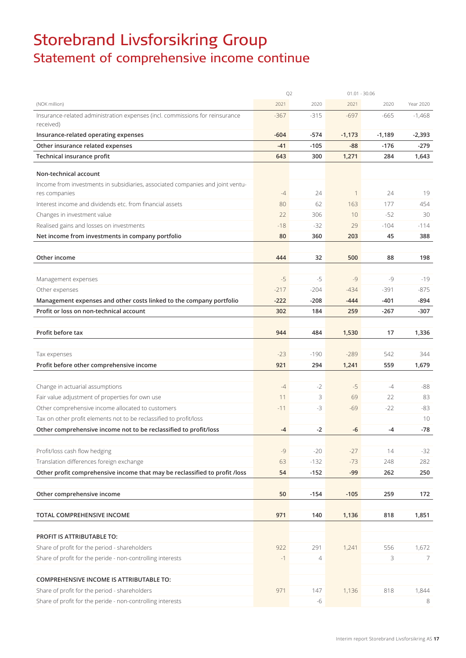## Storebrand Livsforsikring Group Statement of comprehensive income continue

|                                                                                                                        | Q <sub>2</sub> |                  | $01.01 - 30.06$ |            |            |  |
|------------------------------------------------------------------------------------------------------------------------|----------------|------------------|-----------------|------------|------------|--|
| (NOK million)                                                                                                          | 2021           | 2020             | 2021            | 2020       | Year 2020  |  |
| Insurance-related administration expenses (incl. commissions for reinsurance<br>received)                              | $-367$         | $-315$           | $-697$          | $-665$     | $-1,468$   |  |
| Insurance-related operating expenses                                                                                   | $-604$         | $-574$           | $-1,173$        | $-1,189$   | $-2,393$   |  |
| Other insurance related expenses                                                                                       | $-41$          | $-105$           | $-88$           | $-176$     | -279       |  |
| Technical insurance profit                                                                                             | 643            | 300              | 1,271           | 284        | 1,643      |  |
| Non-technical account                                                                                                  |                |                  |                 |            |            |  |
| Income from investments in subsidiaries, associated companies and joint ventu-<br>res companies                        | $-4$           | 24               | $\mathbf{1}$    | 24         | 19         |  |
| Interest income and dividends etc. from financial assets                                                               | 80             | 62               | 163             | 177        | 454        |  |
| Changes in investment value                                                                                            | 22             | 306              | 10              | $-52$      | 30         |  |
| Realised gains and losses on investments                                                                               | $-18$          | $-32$            | 29              | $-104$     | $-114$     |  |
| Net income from investments in company portfolio                                                                       | 80             | 360              | 203             | 45         | 388        |  |
|                                                                                                                        |                |                  |                 |            |            |  |
| Other income                                                                                                           | 444            | 32               | 500             | 88         | 198        |  |
|                                                                                                                        |                |                  |                 |            |            |  |
| Management expenses                                                                                                    | $-5$           | $-5$             | $-9$            | $-9$       | $-19$      |  |
| Other expenses                                                                                                         | $-217$         | $-204$           | $-434$          | $-391$     | $-875$     |  |
| Management expenses and other costs linked to the company portfolio                                                    | $-222$         | $-208$           | $-444$          | $-401$     | -894       |  |
| Profit or loss on non-technical account                                                                                | 302            | 184              | 259             | $-267$     | -307       |  |
| Profit before tax                                                                                                      | 944            | 484              | 1,530           | 17         | 1,336      |  |
|                                                                                                                        |                |                  |                 |            |            |  |
| Tax expenses                                                                                                           | $-23$          | $-190$           | $-289$          | 542        | 344        |  |
| Profit before other comprehensive income                                                                               | 921            | 294              | 1,241           | 559        | 1,679      |  |
|                                                                                                                        |                |                  |                 |            |            |  |
| Change in actuarial assumptions                                                                                        | $-4$           | $-2$             | $-5$            | $-4$       | $-88$      |  |
| Fair value adjustment of properties for own use                                                                        | 11             | 3                | 69              | 22         | 83         |  |
| Other comprehensive income allocated to customers                                                                      | $-11$          | $-3$             | $-69$           | $-22$      | $-83$      |  |
| Tax on other profit elements not to be reclassified to profit/loss                                                     |                |                  |                 |            | 10         |  |
| Other comprehensive income not to be reclassified to profit/loss                                                       | $-4$           | $-2$             | -6              | $-4$       | $-78$      |  |
|                                                                                                                        | $-9$           |                  |                 |            |            |  |
| Profit/loss cash flow hedging                                                                                          |                | $-20$            | $-27$           | 14         | $-32$      |  |
| Translation differences foreign exchange<br>Other profit comprehensive income that may be reclassified to profit /loss | 63<br>54       | $-132$<br>$-152$ | $-73$<br>$-99$  | 248<br>262 | 282<br>250 |  |
|                                                                                                                        |                |                  |                 |            |            |  |
| Other comprehensive income                                                                                             | 50             | $-154$           | $-105$          | 259        | 172        |  |
|                                                                                                                        |                |                  |                 |            |            |  |
| TOTAL COMPREHENSIVE INCOME                                                                                             | 971            | 140              | 1,136           | 818        | 1,851      |  |
|                                                                                                                        |                |                  |                 |            |            |  |
| PROFIT IS ATTRIBUTABLE TO:                                                                                             |                |                  |                 |            |            |  |
| Share of profit for the period - shareholders                                                                          | 922            | 291              | 1,241           | 556        | 1,672      |  |
| Share of profit for the peride - non-controlling interests                                                             | $-1$           | 4                |                 | 3          | 7          |  |
|                                                                                                                        |                |                  |                 |            |            |  |
| <b>COMPREHENSIVE INCOME IS ATTRIBUTABLE TO:</b>                                                                        |                |                  |                 |            |            |  |
| Share of profit for the period - shareholders                                                                          | 971            | 147              | 1,136           | 818        | 1,844      |  |
| Share of profit for the peride - non-controlling interests                                                             |                | -6               |                 |            | 8          |  |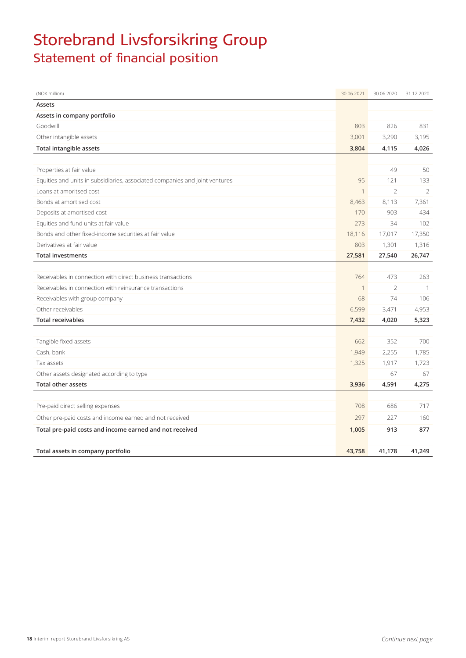## Storebrand Livsforsikring Group Statement of financial position

| (NOK million)                                                               | 30.06.2021  | 30.06.2020    | 31.12.2020     |
|-----------------------------------------------------------------------------|-------------|---------------|----------------|
| Assets                                                                      |             |               |                |
| Assets in company portfolio                                                 |             |               |                |
| Goodwill                                                                    | 803         | 826           | 831            |
| Other intangible assets                                                     | 3,001       | 3,290         | 3,195          |
| <b>Total intangible assets</b>                                              | 3,804       | 4,115         | 4,026          |
|                                                                             |             |               |                |
| Properties at fair value                                                    |             | 49            | 50             |
| Equities and units in subsidiaries, associated companies and joint ventures | 95          | 121           | 133            |
| Loans at amoritsed cost                                                     | 1           | $\mathcal{P}$ | $\mathcal{L}$  |
| Bonds at amortised cost                                                     | 8,463       | 8,113         | 7,361          |
| Deposits at amortised cost                                                  | $-170$      | 903           | 434            |
| Equities and fund units at fair value                                       | 273         | 34            | 102            |
| Bonds and other fixed-income securities at fair value                       | 18,116      | 17,017        | 17,350         |
| Derivatives at fair value                                                   | 803         | 1,301         | 1,316          |
| <b>Total investments</b>                                                    | 27,581      | 27,540        | 26,747         |
|                                                                             |             |               |                |
| Receivables in connection with direct business transactions                 | 764         | 473           | 263            |
| Receivables in connection with reinsurance transactions                     | $\mathbf 1$ | 2             | $\overline{1}$ |
| Receivables with group company                                              | 68          | 74            | 106            |
| Other receivables                                                           | 6,599       | 3,471         | 4,953          |
| <b>Total receivables</b>                                                    | 7,432       | 4,020         | 5,323          |
|                                                                             |             |               |                |
| Tangible fixed assets                                                       | 662         | 352           | 700            |
| Cash, bank                                                                  | 1,949       | 2,255         | 1,785          |
| Tax assets                                                                  | 1,325       | 1,917         | 1,723          |
| Other assets designated according to type                                   |             | 67            | 67             |
| <b>Total other assets</b>                                                   | 3,936       | 4,591         | 4,275          |
|                                                                             |             |               |                |
| Pre-paid direct selling expenses                                            | 708         | 686           | 717            |
| Other pre-paid costs and income earned and not received                     | 297         | 227           | 160            |
| Total pre-paid costs and income earned and not received                     | 1,005       | 913           | 877            |
|                                                                             |             |               |                |
| Total assets in company portfolio                                           | 43,758      | 41,178        | 41,249         |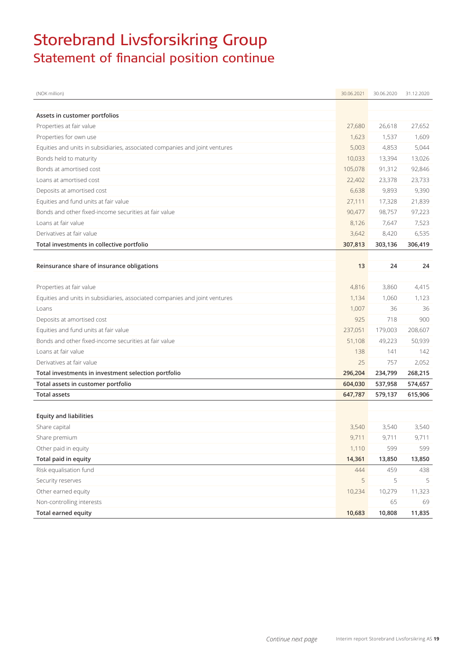## Storebrand Livsforsikring Group Statement of financial position continue

| (NOK million)                                                               | 30.06.2021 | 30.06.2020 | 31.12.2020 |
|-----------------------------------------------------------------------------|------------|------------|------------|
|                                                                             |            |            |            |
| Assets in customer portfolios                                               |            |            |            |
| Properties at fair value                                                    | 27,680     | 26,618     | 27,652     |
| Properties for own use                                                      | 1,623      | 1,537      | 1,609      |
| Equities and units in subsidiaries, associated companies and joint ventures | 5,003      | 4,853      | 5,044      |
| Bonds held to maturity                                                      | 10,033     | 13,394     | 13,026     |
| Bonds at amortised cost                                                     | 105,078    | 91,312     | 92,846     |
| Loans at amortised cost                                                     | 22,402     | 23,378     | 23,733     |
| Deposits at amortised cost                                                  | 6,638      | 9,893      | 9,390      |
| Equities and fund units at fair value                                       | 27,111     | 17,328     | 21,839     |
| Bonds and other fixed-income securities at fair value                       | 90,477     | 98,757     | 97,223     |
| Loans at fair value                                                         | 8,126      | 7,647      | 7,523      |
| Derivatives at fair value                                                   | 3,642      | 8,420      | 6,535      |
| Total investments in collective portfolio                                   | 307,813    | 303,136    | 306,419    |
|                                                                             |            |            |            |
| Reinsurance share of insurance obligations                                  | 13         | 24         | 24         |
|                                                                             |            |            |            |
| Properties at fair value                                                    | 4,816      | 3,860      | 4,415      |
| Equities and units in subsidiaries, associated companies and joint ventures | 1,134      | 1,060      | 1,123      |
| Loans                                                                       | 1,007      | 36         | 36         |
| Deposits at amortised cost                                                  | 925        | 718        | 900        |
| Equities and fund units at fair value                                       | 237,051    | 179,003    | 208,607    |
| Bonds and other fixed-income securities at fair value                       | 51,108     | 49,223     | 50,939     |
| Loans at fair value                                                         | 138        | 141        | 142        |
| Derivatives at fair value                                                   | 25         | 757        | 2,052      |
| Total investments in investment selection portfolio                         | 296,204    | 234,799    | 268,215    |
| Total assets in customer portfolio                                          | 604,030    | 537,958    | 574,657    |
| <b>Total assets</b>                                                         | 647,787    | 579,137    | 615,906    |
|                                                                             |            |            |            |
| <b>Equity and liabilities</b>                                               |            |            |            |
| Share capital                                                               | 3,540      | 3,540      | 3,540      |
| Share premium                                                               | 9,711      | 9,711      | 9,711      |
| Other paid in equity                                                        | 1,110      | 599        | 599        |
| Total paid in equity                                                        | 14,361     | 13,850     | 13,850     |
| Risk equalisation fund                                                      | 444        | 459        | 438        |
| Security reserves                                                           | 5          | 5          | 5          |
| Other earned equity                                                         | 10,234     | 10,279     | 11,323     |
| Non-controlling interests                                                   |            | 65         | 69         |
| <b>Total earned equity</b>                                                  | 10,683     | 10,808     | 11,835     |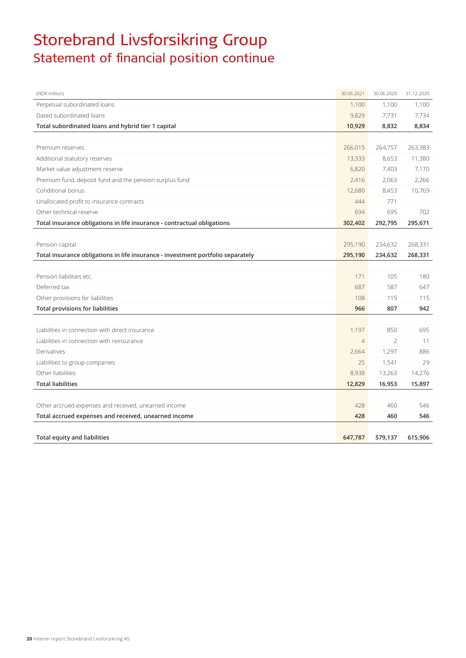## Storebrand Livsforsikring Group Statement of financial position continue

| (NOK million)                                                                   | 30.06.2021     | 30.06.2020    | 31.12.2020 |
|---------------------------------------------------------------------------------|----------------|---------------|------------|
| Perpetual subordinated loans                                                    | 1,100          | 1,100         | 1,100      |
| Dated subordinated loans                                                        | 9,829          | 7,731         | 7,734      |
| Total subordinated loans and hybrid tier 1 capital                              | 10,929         | 8,832         | 8,834      |
|                                                                                 |                |               |            |
| Premium reserves                                                                | 266,015        | 264,757       | 263,383    |
| Additional statutory reserves                                                   | 13,333         | 8,653         | 11,380     |
| Market value adjustment reserve                                                 | 6,820          | 7,403         | 7,170      |
| Premium fund, deposit fund and the pension surplus fund                         | 2,416          | 2,063         | 2,266      |
| Conditional bonus                                                               | 12,680         | 8,453         | 10,769     |
| Unallocated profit to insurance contracts                                       | 444            | 771           |            |
| Other technical reserve                                                         | 694            | 695           | 702        |
| Total insurance obligations in life insurance - contractual obligations         | 302,402        | 292,795       | 295,671    |
|                                                                                 |                |               |            |
| Pension capital                                                                 | 295,190        | 234,632       | 268,331    |
| Total insurance obligations in life insurance - investment portfolio separately | 295,190        | 234,632       | 268,331    |
|                                                                                 |                |               |            |
| Pension liabilities etc.                                                        | 171            | 105           | 180        |
| Deferred tax                                                                    | 687            | 587           | 647        |
| Other provisions for liabilities                                                | 108            | 115           | 115        |
| <b>Total provisions for liabilities</b>                                         | 966            | 807           | 942        |
|                                                                                 |                |               |            |
| Liabilities in connection with direct insurance                                 | 1,197          | 850           | 695        |
| Liabilities in connection with reinsurance                                      | $\overline{4}$ | $\mathcal{P}$ | 11         |
| Derivatives                                                                     | 2,664          | 1,297         | 886        |
| Liabilities to group companies                                                  | 25             | 1,541         | 29         |
| Other liabilities                                                               | 8,938          | 13,263        | 14,276     |
| <b>Total liabilities</b>                                                        | 12,829         | 16,953        | 15,897     |
|                                                                                 |                |               |            |
| Other accrued expenses and received, unearned income                            | 428            | 460           | 546        |
| Total accrued expenses and received, unearned income                            | 428            | 460           | 546        |
|                                                                                 |                |               |            |
| <b>Total equity and liabilities</b>                                             | 647,787        | 579,137       | 615,906    |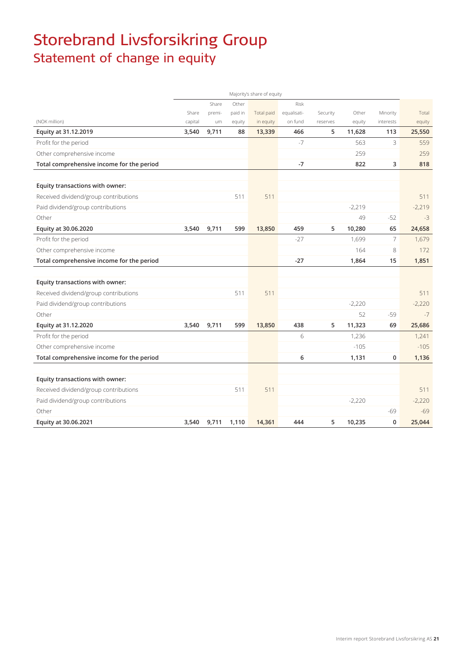## Storebrand Livsforsikring Group Statement of change in equity

|                                           |         |        |         | Majority's share of equity |             |          |          |                |          |
|-------------------------------------------|---------|--------|---------|----------------------------|-------------|----------|----------|----------------|----------|
|                                           |         | Share  | Other   |                            | Risk        |          |          |                |          |
|                                           | Share   | premi- | paid in | Total paid                 | equalisati- | Security | Other    | Minority       | Total    |
| (NOK million)                             | capital | um     | equity  | in equity                  | on fund     | reserves | equity   | interests      | equity   |
| Equity at 31.12.2019                      | 3,540   | 9,711  | 88      | 13,339                     | 466         | 5        | 11,628   | 113            | 25,550   |
| Profit for the period                     |         |        |         |                            | $-7$        |          | 563      | 3              | 559      |
| Other comprehensive income                |         |        |         |                            |             |          | 259      |                | 259      |
| Total comprehensive income for the period |         |        |         |                            | $-7$        |          | 822      | 3              | 818      |
|                                           |         |        |         |                            |             |          |          |                |          |
| Equity transactions with owner:           |         |        |         |                            |             |          |          |                |          |
| Received dividend/group contributions     |         |        | 511     | 511                        |             |          |          |                | 511      |
| Paid dividend/group contributions         |         |        |         |                            |             |          | $-2,219$ |                | $-2,219$ |
| Other                                     |         |        |         |                            |             |          | 49       | $-52$          | $-3$     |
| Equity at 30.06.2020                      | 3,540   | 9,711  | 599     | 13,850                     | 459         | 5        | 10,280   | 65             | 24,658   |
| Profit for the period                     |         |        |         |                            | $-27$       |          | 1,699    | $\overline{7}$ | 1,679    |
| Other comprehensive income                |         |        |         |                            |             |          | 164      | 8              | 172      |
| Total comprehensive income for the period |         |        |         |                            | $-27$       |          | 1,864    | 15             | 1,851    |
|                                           |         |        |         |                            |             |          |          |                |          |
| Equity transactions with owner:           |         |        |         |                            |             |          |          |                |          |
| Received dividend/group contributions     |         |        | 511     | 511                        |             |          |          |                | 511      |
| Paid dividend/group contributions         |         |        |         |                            |             |          | $-2,220$ |                | $-2,220$ |
| Other                                     |         |        |         |                            |             |          | 52       | $-59$          | $-7$     |
| Equity at 31.12.2020                      | 3,540   | 9,711  | 599     | 13,850                     | 438         | 5        | 11,323   | 69             | 25,686   |
| Profit for the period                     |         |        |         |                            | 6           |          | 1,236    |                | 1,241    |
| Other comprehensive income                |         |        |         |                            |             |          | $-105$   |                | $-105$   |
| Total comprehensive income for the period |         |        |         |                            | 6           |          | 1,131    | 0              | 1,136    |
|                                           |         |        |         |                            |             |          |          |                |          |
| Equity transactions with owner:           |         |        |         |                            |             |          |          |                |          |
| Received dividend/group contributions     |         |        | 511     | 511                        |             |          |          |                | 511      |
| Paid dividend/group contributions         |         |        |         |                            |             |          | $-2,220$ |                | $-2,220$ |
| Other                                     |         |        |         |                            |             |          |          | -69            | $-69$    |
| Equity at 30.06.2021                      | 3,540   | 9,711  | 1,110   | 14,361                     | 444         | 5        | 10,235   | 0              | 25,044   |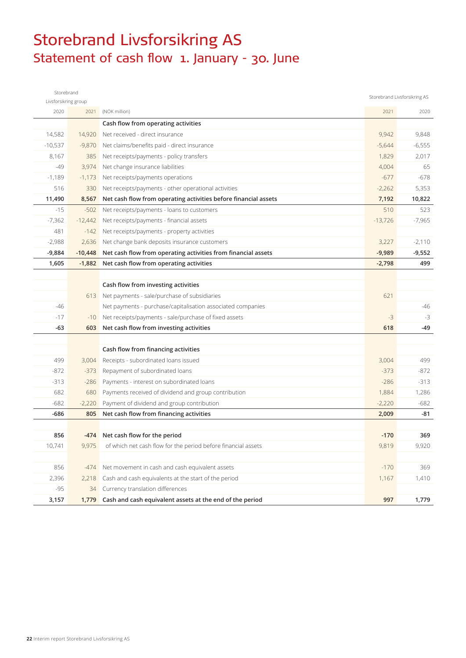## Storebrand Livsforsikring AS Statement of cash flow 1. January - 30. June

| Storebrand           |           |                                                                 |           | Storebrand Livsforsikring AS |
|----------------------|-----------|-----------------------------------------------------------------|-----------|------------------------------|
| Livsforsikring group |           |                                                                 |           |                              |
| 2020                 | 2021      | (NOK million)                                                   | 2021      | 2020                         |
|                      |           | Cash flow from operating activities                             |           |                              |
| 14,582               | 14.920    | Net received - direct insurance                                 | 9,942     | 9,848                        |
| $-10,537$            | $-9,870$  | Net claims/benefits paid - direct insurance                     | $-5,644$  | $-6,555$                     |
| 8,167                | 385       | Net receipts/payments - policy transfers                        | 1,829     | 2,017                        |
| $-49$                | 3,974     | Net change insurance liabilities                                | 4,004     | 65                           |
| $-1,189$             | $-1,173$  | Net receipts/payments operations                                | $-677$    | $-678$                       |
| 516                  | 330       | Net receipts/payments - other operational activities            | $-2,262$  | 5,353                        |
| 11,490               | 8,567     | Net cash flow from operating activities before financial assets | 7,192     | 10,822                       |
| $-15$                | $-502$    | Net receipts/payments - loans to customers                      | 510       | 523                          |
| $-7,362$             | $-12,442$ | Net receipts/payments - financial assets                        | $-13,726$ | $-7,965$                     |
| 481                  | $-142$    | Net receipts/payments - property activities                     |           |                              |
| $-2,988$             | 2,636     | Net change bank deposits insurance customers                    | 3,227     | $-2,110$                     |
| $-9,884$             | $-10,448$ | Net cash flow from operating activities from financial assets   | $-9,989$  | $-9,552$                     |
| 1,605                | $-1,882$  | Net cash flow from operating activities                         | $-2,798$  | 499                          |
|                      |           |                                                                 |           |                              |
|                      |           | Cash flow from investing activities                             |           |                              |
|                      |           | 613 Net payments - sale/purchase of subsidiaries                | 621       |                              |
| -46                  |           | Net payments - purchase/capitalisation associated companies     |           | -46                          |
| $-17$                | $-10$     | Net receipts/payments - sale/purchase of fixed assets           | $-3$      | $-3$                         |
| -63                  | 603       | Net cash flow from investing activities                         | 618       | $-49$                        |
|                      |           |                                                                 |           |                              |
|                      |           | Cash flow from financing activities                             |           |                              |
| 499                  | 3,004     | Receipts - subordinated loans issued                            | 3,004     | 499                          |
| $-872$               | $-373$    | Repayment of subordinated loans                                 | $-373$    | $-872$                       |
| $-313$               | $-286$    | Payments - interest on subordinated loans                       | $-286$    | $-313$                       |
| 682                  | 680       | Payments received of dividend and group contribution            | 1,884     | 1,286                        |
| $-682$               | $-2,220$  | Payment of dividend and group contribution                      | $-2,220$  | $-682$                       |
| $-686$               | 805       | Net cash flow from financing activities                         | 2,009     | -81                          |
|                      |           |                                                                 |           |                              |
| 856                  |           | -474 Net cash flow for the period                               | $-170$    | 369                          |
| 10,741               | 9,975     | of which net cash flow for the period before financial assets   | 9,819     | 9,920                        |
|                      |           |                                                                 |           |                              |
| 856                  | $-474$    | Net movement in cash and cash equivalent assets                 | $-170$    | 369                          |
| 2,396                | 2,218     | Cash and cash equivalents at the start of the period            | 1,167     | 1,410                        |
| $-95$                | 34        | Currency translation differences                                |           |                              |
| 3,157                | 1,779     | Cash and cash equivalent assets at the end of the period        | 997       | 1,779                        |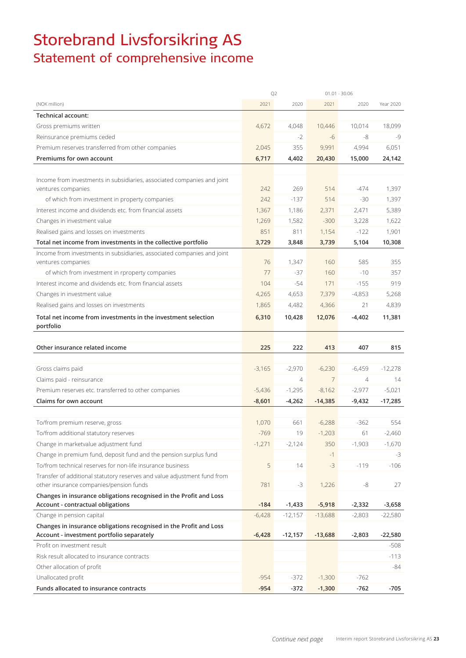## Storebrand Livsforsikring AS Statement of comprehensive income

|                                                                                                         | Q <sub>2</sub>   |                  | $01.01 - 30.06$      |                  |           |
|---------------------------------------------------------------------------------------------------------|------------------|------------------|----------------------|------------------|-----------|
| (NOK million)                                                                                           | 2021             | 2020             | 2021                 | 2020             | Year 2020 |
| <b>Technical account:</b>                                                                               |                  |                  |                      |                  |           |
| Gross premiums written                                                                                  | 4,672            | 4,048            | 10,446               | 10,014           | 18,099    |
| Reinsurance premiums ceded                                                                              |                  | $-2$             | -6                   | -8               | -9        |
| Premium reserves transferred from other companies                                                       | 2,045            | 355              | 9,991                | 4,994            | 6,051     |
| Premiums for own account                                                                                | 6,717            | 4,402            | 20,430               | 15,000           | 24,142    |
|                                                                                                         |                  |                  |                      |                  |           |
| Income from investments in subsidiaries, associated companies and joint                                 |                  |                  |                      |                  |           |
| ventures companies                                                                                      | 242              | 269              | 514                  | $-474$           | 1,397     |
| of which from investment in property companies                                                          | 242              | $-137$           | 514                  | $-30$            | 1,397     |
| Interest income and dividends etc. from financial assets                                                | 1,367            | 1,186            | 2,371                | 2,471            | 5,389     |
| Changes in investment value                                                                             | 1,269            | 1,582            | $-300$               | 3,228            | 1,622     |
| Realised gains and losses on investments                                                                | 851              | 811              | 1,154                | $-122$           | 1,901     |
| Total net income from investments in the collective portfolio                                           | 3,729            | 3,848            | 3,739                | 5,104            | 10,308    |
| Income from investments in subsidiaries, associated companies and joint                                 |                  |                  |                      |                  |           |
| ventures companies                                                                                      | 76               | 1,347            | 160                  | 585              | 355       |
| of which from investment in rproperty companies                                                         | 77               | $-37$            | 160                  | $-10$            | 357       |
| Interest income and dividends etc. from financial assets                                                | 104              | $-54$            | 171                  | $-155$           | 919       |
| Changes in investment value                                                                             | 4,265            | 4,653            | 7,379                | $-4,853$         | 5,268     |
| Realised gains and losses on investments                                                                | 1,865            | 4,482            | 4,366                | 21               | 4,839     |
| Total net income from investments in the investment selection<br>portfolio                              | 6,310            | 10,428           | 12,076               | $-4,402$         | 11,381    |
|                                                                                                         |                  |                  |                      |                  |           |
| Other insurance related income                                                                          | 225              | 222              | 413                  | 407              | 815       |
|                                                                                                         |                  |                  |                      |                  |           |
| Gross claims paid                                                                                       | $-3,165$         | $-2,970$         | $-6,230$             | $-6,459$         | $-12,278$ |
| Claims paid - reinsurance                                                                               |                  | $\overline{4}$   | $\overline{7}$       | $\overline{4}$   | 14        |
| Premium reserves etc. transferred to other companies                                                    | $-5,436$         | $-1,295$         | $-8,162$             | $-2,977$         | $-5,021$  |
| Claims for own account                                                                                  | $-8,601$         | $-4,262$         | $-14,385$            | $-9,432$         | $-17,285$ |
|                                                                                                         |                  |                  |                      |                  |           |
| To/from premium reserve, gross                                                                          | 1,070            | 661              | $-6,288$             | $-362$           | 554       |
| To/from additional statutory reserves                                                                   | $-769$           | 19               | $-1,203$             | 61               | $-2,460$  |
| Change in marketvalue adjustment fund                                                                   | $-1,271$         | $-2,124$         | 350                  | $-1,903$         | $-1,670$  |
| Change in premium fund, deposit fund and the pension surplus fund                                       |                  |                  | $-1$                 |                  | -3        |
| To/from technical reserves for non-life insurance business                                              | 5                | 14               | $-3$                 | $-119$           | $-106$    |
| Transfer of additional statutory reserves and value adjustment fund from                                |                  |                  |                      |                  |           |
|                                                                                                         |                  |                  |                      |                  |           |
|                                                                                                         | 781              | $-3$             |                      | $-8$             | 27        |
| other insurance companies/pension funds                                                                 |                  |                  | 1,226                |                  |           |
| Changes in insurance obligations recognised in the Profit and Loss<br>Account - contractual obligations | $-184$           | $-1,433$         | $-5,918$             | $-2,332$         | $-3,658$  |
| Change in pension capital                                                                               | $-6,428$         | $-12,157$        | $-13,688$            | $-2,803$         | $-22,580$ |
| Changes in insurance obligations recognised in the Profit and Loss                                      |                  |                  |                      |                  |           |
| Account - investment portfolio separately                                                               | $-6,428$         | $-12,157$        | $-13,688$            | $-2,803$         | $-22,580$ |
| Profit on investment result                                                                             |                  |                  |                      |                  | -508      |
| Risk result allocated to insurance contracts                                                            |                  |                  |                      |                  | $-113$    |
| Other allocation of profit                                                                              |                  |                  |                      |                  | $-84$     |
| Unallocated profit<br>Funds allocated to insurance contracts                                            | $-954$<br>$-954$ | $-372$<br>$-372$ | $-1,300$<br>$-1,300$ | $-762$<br>$-762$ | $-705$    |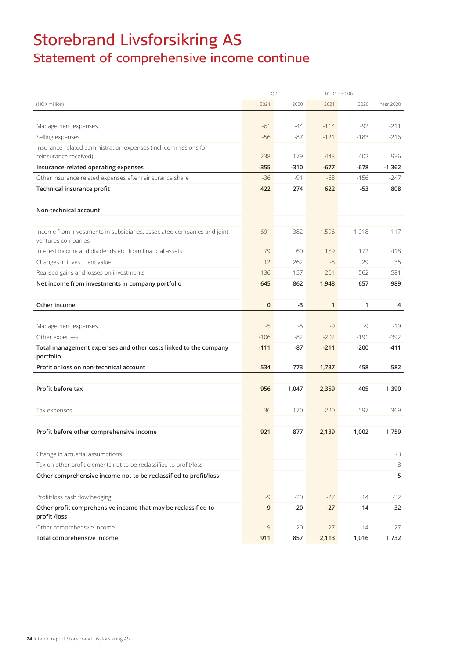## Storebrand Livsforsikring AS Statement of comprehensive income continue

|                                                                                               |             | Q <sub>2</sub> |              | $01.01 - 30.06$ |           |
|-----------------------------------------------------------------------------------------------|-------------|----------------|--------------|-----------------|-----------|
| (NOK million)                                                                                 | 2021        | 2020           | 2021         | 2020            | Year 2020 |
|                                                                                               |             |                |              |                 |           |
| Management expenses                                                                           | $-61$       | $-44$          | $-114$       | $-92$           | $-211$    |
| Selling expenses                                                                              | $-56$       | $-87$          | $-121$       | $-183$          | $-216$    |
| Insurance-related administration expenses (incl. commissions for                              |             |                |              |                 |           |
| reinsurance received)                                                                         | $-238$      | $-179$         | $-443$       | $-402$          | $-936$    |
| Insurance-related operating expenses                                                          | $-355$      | $-310$         | $-677$       | $-678$          | $-1,362$  |
| Other insurance related expenses after reinsurance share                                      | $-36$       | $-91$          | $-68$        | $-156$          | $-247$    |
| Technical insurance profit                                                                    | 422         | 274            | 622          | $-53$           | 808       |
|                                                                                               |             |                |              |                 |           |
| Non-technical account                                                                         |             |                |              |                 |           |
|                                                                                               |             |                |              |                 |           |
| Income from investments in subsidiaries, associated companies and joint<br>ventures companies | 691         | 382            | 1,596        | 1,018           | 1,117     |
| Interest income and dividends etc. from financial assets                                      | 79          | 60             | 159          | 172             | 418       |
| Changes in investment value                                                                   | 12          | 262            | $-8$         | 29              | 35        |
| Realised gains and losses on investments                                                      | $-136$      | 157            | 201          | $-562$          | $-581$    |
| Net income from investments in company portfolio                                              | 645         | 862            | 1,948        | 657             | 989       |
|                                                                                               |             |                |              |                 |           |
| Other income                                                                                  | $\mathbf 0$ | -3             | $\mathbf{1}$ | 1               | 4         |
|                                                                                               |             |                |              |                 |           |
| Management expenses                                                                           | $-5$        | $-5$           | $-9$         | $-9$            | $-19$     |
| Other expenses                                                                                | $-106$      | $-82$          | $-202$       | $-191$          | $-392$    |
| Total management expenses and other costs linked to the company                               | $-111$      | -87            | $-211$       | $-200$          | $-411$    |
| portfolio                                                                                     |             |                |              |                 |           |
| Profit or loss on non-technical account                                                       | 534         | 773            | 1,737        | 458             | 582       |
|                                                                                               |             |                |              |                 |           |
| Profit before tax                                                                             | 956         | 1,047          | 2,359        | 405             | 1,390     |
|                                                                                               |             |                |              |                 |           |
| Tax expenses                                                                                  | $-36$       | $-170$         | $-220$       | 597             | 369       |
|                                                                                               |             |                |              |                 |           |
| Profit before other comprehensive income                                                      | 921         | 877            | 2,139        | 1,002           | 1,759     |
|                                                                                               |             |                |              |                 |           |
| Change in actuarial assumptions                                                               |             |                |              |                 | $-3$      |
| Tax on other profit elements not to be reclassified to profit/loss                            |             |                |              |                 | 8         |
| Other comprehensive income not to be reclassified to profit/loss                              |             |                |              |                 | 5         |
|                                                                                               |             |                |              |                 |           |
| Profit/loss cash flow hedging                                                                 | -9          | $-20$          | $-27$        | 14              | $-32$     |
| Other profit comprehensive income that may be reclassified to<br>profit /loss                 | -9          | $-20$          | $-27$        | 14              | $-32$     |
| Other comprehensive income                                                                    | $-9$        | $-20$          | $-27$        | 14              | $-27$     |
| Total comprehensive income                                                                    | 911         | 857            | 2,113        | 1,016           | 1,732     |
|                                                                                               |             |                |              |                 |           |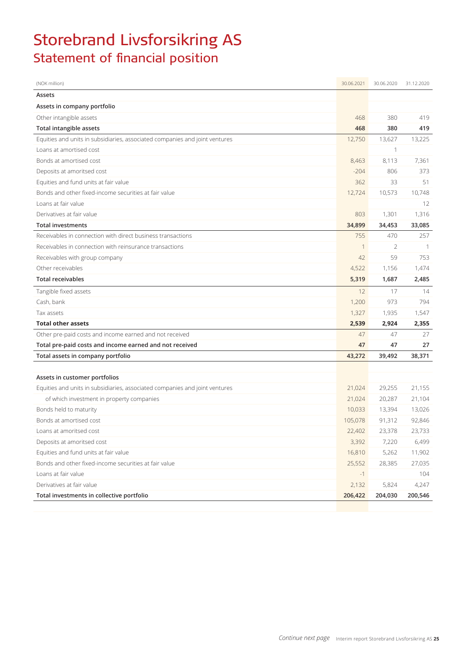## Storebrand Livsforsikring AS Statement of financial position

| (NOK million)                                                               | 30.06.2021 | 30.06.2020 | 31.12.2020 |
|-----------------------------------------------------------------------------|------------|------------|------------|
| Assets                                                                      |            |            |            |
| Assets in company portfolio                                                 |            |            |            |
| Other intangible assets                                                     | 468        | 380        | 419        |
| Total intangible assets                                                     | 468        | 380        | 419        |
| Equities and units in subsidiaries, associated companies and joint ventures | 12,750     | 13,627     | 13,225     |
| Loans at amortised cost                                                     |            | 1          |            |
| Bonds at amortised cost                                                     | 8,463      | 8,113      | 7,361      |
| Deposits at amoritsed cost                                                  | $-204$     | 806        | 373        |
| Equities and fund units at fair value                                       | 362        | 33         | 51         |
| Bonds and other fixed-income securities at fair value                       | 12,724     | 10,573     | 10,748     |
| Loans at fair value                                                         |            |            | 12         |
| Derivatives at fair value                                                   | 803        | 1,301      | 1,316      |
| <b>Total investments</b>                                                    | 34,899     | 34,453     | 33,085     |
| Receivables in connection with direct business transactions                 | 755        | 470        | 257        |
| Receivables in connection with reinsurance transactions                     | 1          | 2          | -1         |
| Receivables with group company                                              | 42         | 59         | 753        |
| Other receivables                                                           | 4,522      | 1,156      | 1,474      |
| <b>Total receivables</b>                                                    | 5,319      | 1,687      | 2,485      |
| Tangible fixed assets                                                       | 12         | 17         | 14         |
| Cash, bank                                                                  | 1,200      | 973        | 794        |
| Tax assets                                                                  | 1,327      | 1,935      | 1,547      |
| <b>Total other assets</b>                                                   | 2,539      | 2,924      | 2,355      |
| Other pre-paid costs and income earned and not received                     | 47         | 47         | 27         |
| Total pre-paid costs and income earned and not received                     | 47         | 47         | 27         |
| Total assets in company portfolio                                           | 43,272     | 39,492     | 38,371     |
|                                                                             |            |            |            |
| Assets in customer portfolios                                               |            |            |            |
| Equities and units in subsidiaries, associated companies and joint ventures | 21,024     | 29,255     | 21,155     |
| of which investment in property companies                                   | 21,024     | 20,287     | 21,104     |
| Bonds held to maturity                                                      | 10,033     | 13,394     | 13,026     |
| Bonds at amortised cost                                                     | 105,078    | 91,312     | 92,846     |
| Loans at amoritsed cost                                                     | 22,402     | 23,378     | 23,733     |
| Deposits at amoritsed cost                                                  | 3,392      | 7,220      | 6,499      |
| Equities and fund units at fair value                                       | 16,810     | 5,262      | 11,902     |
| Bonds and other fixed-income securities at fair value                       | 25,552     | 28,385     | 27,035     |
| Loans at fair value                                                         | $-1$       |            | 104        |
| Derivatives at fair value                                                   | 2,132      | 5,824      | 4,247      |
| Total investments in collective portfolio                                   | 206,422    | 204,030    | 200,546    |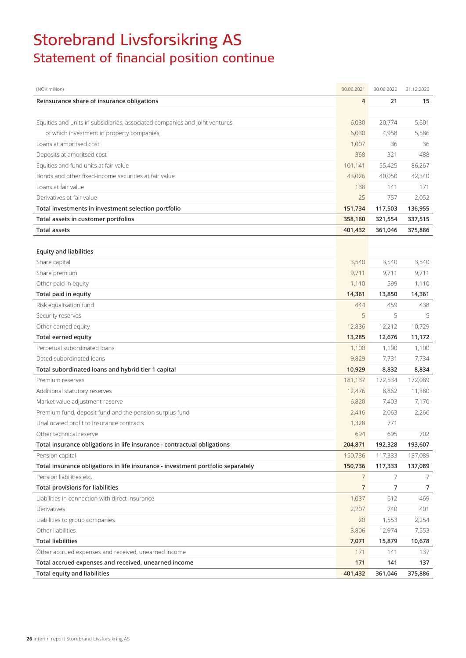## Storebrand Livsforsikring AS Statement of financial position continue

| (NOK million)                                                                   | 30.06.2021     | 30.06.2020 | 31.12.2020 |
|---------------------------------------------------------------------------------|----------------|------------|------------|
| Reinsurance share of insurance obligations                                      | $\overline{4}$ | 21         | 15         |
|                                                                                 |                |            |            |
| Equities and units in subsidiaries, associated companies and joint ventures     | 6,030          | 20,774     | 5,601      |
| of which investment in property companies                                       | 6,030          | 4,958      | 5,586      |
| Loans at amoritsed cost                                                         | 1,007          | 36         | 36         |
| Deposits at amoritsed cost                                                      | 368            | 321        | 488        |
| Equities and fund units at fair value                                           | 101,141        | 55,425     | 86,267     |
| Bonds and other fixed-income securities at fair value                           | 43,026         | 40,050     | 42,340     |
| Loans at fair value                                                             | 138            | 141        | 171        |
| Derivatives at fair value                                                       | 25             | 757        | 2,052      |
| Total investments in investment selection portfolio                             | 151,734        | 117,503    | 136,955    |
| Total assets in customer portfolios                                             | 358,160        | 321,554    | 337,515    |
| <b>Total assets</b>                                                             | 401,432        | 361,046    | 375,886    |
|                                                                                 |                |            |            |
| <b>Equity and liabilities</b>                                                   |                |            |            |
| Share capital                                                                   | 3,540          | 3.540      | 3,540      |
| Share premium                                                                   | 9,711          | 9,711      | 9,711      |
| Other paid in equity                                                            | 1,110          | 599        | 1,110      |
| Total paid in equity                                                            | 14,361         | 13,850     | 14,361     |
| Risk equalisation fund                                                          | 444            | 459        | 438        |
| Security reserves                                                               | 5              | 5          | 5          |
| Other earned equity                                                             | 12,836         | 12,212     | 10,729     |
| Total earned equity                                                             | 13,285         | 12,676     | 11,172     |
| Perpetual subordinated loans                                                    | 1,100          | 1,100      | 1,100      |
| Dated subordinated loans                                                        | 9,829          | 7,731      | 7,734      |
| Total subordinated loans and hybrid tier 1 capital                              | 10,929         | 8,832      | 8,834      |
| Premium reserves                                                                | 181,137        | 172,534    | 172,089    |
| Additional statutory reserves                                                   | 12,476         | 8,862      | 11,380     |
| Market value adjustment reserve                                                 | 6,820          | 7,403      | 7,170      |
| Premium fund, deposit fund and the pension surplus fund                         | 2,416          | 2,063      | 2,266      |
| Unallocated profit to insurance contracts                                       | 1,328          | 771        |            |
| Other technical reserve                                                         | 694            | 695        | 702        |
| Total insurance obligations in life insurance - contractual obligations         | 204,871        | 192,328    | 193,607    |
| Pension capital                                                                 | 150,736        | 117,333    | 137,089    |
| Total insurance obligations in life insurance - investment portfolio separately | 150,736        | 117,333    | 137,089    |
| Pension liabilities etc.                                                        | 7              | 7          | 7          |
| <b>Total provisions for liabilities</b>                                         | 7              | 7          | 7          |
| Liabilities in connection with direct insurance                                 | 1,037          | 612        | 469        |
| Derivatives                                                                     | 2,207          | 740        | 401        |
| Liabilities to group companies                                                  | 20             | 1,553      | 2,254      |
| Other liabilities                                                               | 3,806          | 12,974     | 7,553      |
| <b>Total liabilities</b>                                                        | 7,071          | 15,879     | 10,678     |
| Other accrued expenses and received, unearned income                            | 171            | 141        | 137        |
| Total accrued expenses and received, unearned income                            | 171            | 141        | 137        |
| <b>Total equity and liabilities</b>                                             | 401,432        | 361,046    | 375,886    |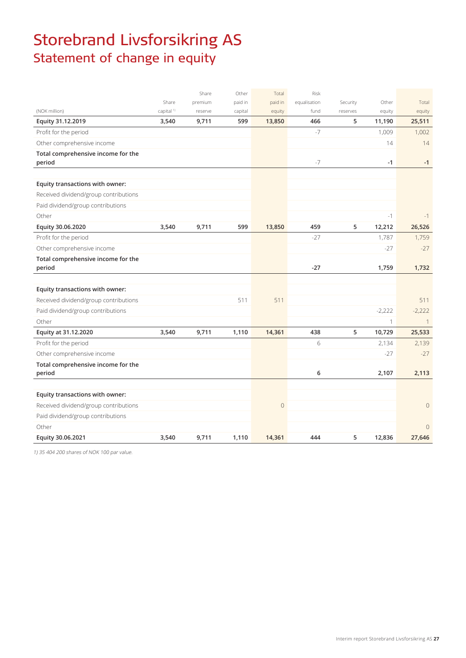## Storebrand Livsforsikring AS Statement of change in equity

|                                              |                       | Share   | Other   | Total       | Risk         |          |          |                |
|----------------------------------------------|-----------------------|---------|---------|-------------|--------------|----------|----------|----------------|
|                                              | Share                 | premium | paid in | paid in     | equalisation | Security | Other    | Total          |
| (NOK million)                                | capital <sup>1)</sup> | reserve | capital | equity      | fund         | reserves | equity   | equity         |
| Equity 31.12.2019                            | 3,540                 | 9,711   | 599     | 13,850      | 466          | 5        | 11,190   | 25,511         |
| Profit for the period                        |                       |         |         |             | $-7$         |          | 1,009    | 1,002          |
| Other comprehensive income                   |                       |         |         |             |              |          | 14       | 14             |
| Total comprehensive income for the<br>period |                       |         |         |             | $-7$         |          | $-1$     | $-1$           |
| Equity transactions with owner:              |                       |         |         |             |              |          |          |                |
| Received dividend/group contributions        |                       |         |         |             |              |          |          |                |
| Paid dividend/group contributions            |                       |         |         |             |              |          |          |                |
| Other                                        |                       |         |         |             |              |          | $-1$     | $-1$           |
| Equity 30.06.2020                            | 3,540                 | 9,711   | 599     | 13,850      | 459          | 5        | 12,212   | 26,526         |
| Profit for the period                        |                       |         |         |             | $-27$        |          | 1,787    | 1,759          |
| Other comprehensive income                   |                       |         |         |             |              |          | $-27$    | $-27$          |
| Total comprehensive income for the           |                       |         |         |             |              |          |          |                |
| period                                       |                       |         |         |             | $-27$        |          | 1,759    | 1,732          |
|                                              |                       |         |         |             |              |          |          |                |
| Equity transactions with owner:              |                       |         |         |             |              |          |          |                |
| Received dividend/group contributions        |                       |         | 511     | 511         |              |          |          | 511            |
| Paid dividend/group contributions            |                       |         |         |             |              |          | $-2,222$ | $-2,222$       |
| Other                                        |                       |         |         |             |              |          | 1        | $\overline{1}$ |
| Equity at 31.12.2020                         | 3,540                 | 9,711   | 1,110   | 14,361      | 438          | 5        | 10,729   | 25,533         |
| Profit for the period                        |                       |         |         |             | 6            |          | 2,134    | 2,139          |
| Other comprehensive income                   |                       |         |         |             |              |          | $-27$    | $-27$          |
| Total comprehensive income for the<br>period |                       |         |         |             | 6            |          | 2,107    | 2,113          |
|                                              |                       |         |         |             |              |          |          |                |
| Equity transactions with owner:              |                       |         |         |             |              |          |          |                |
| Received dividend/group contributions        |                       |         |         | $\mathbf 0$ |              |          |          | $\overline{0}$ |
| Paid dividend/group contributions            |                       |         |         |             |              |          |          |                |
| Other                                        |                       |         |         |             |              |          |          | $\overline{0}$ |
| Equity 30.06.2021                            | 3,540                 | 9,711   | 1,110   | 14,361      | 444          | 5        | 12,836   | 27,646         |

1) 35 404 200 shares of NOK 100 par value.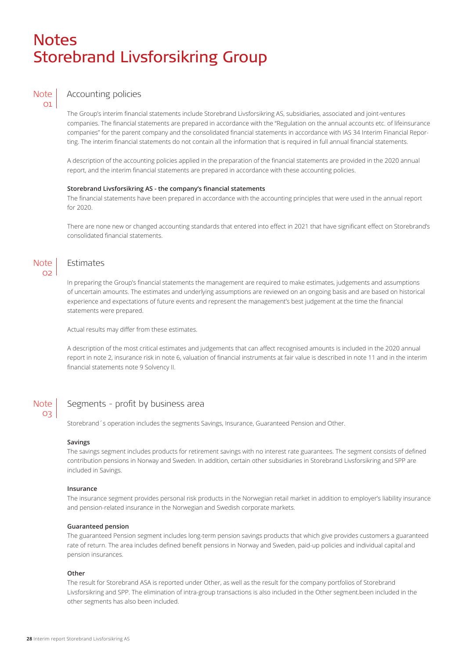## **Notes** Storebrand Livsforsikring Group



## Accounting policies

The Group's interim financial statements include Storebrand Livsforsikring AS, subsidiaries, associated and joint-ventures companies. The financial statements are prepared in accordance with the "Regulation on the annual accounts etc. of lifeinsurance companies" for the parent company and the consolidated financial statements in accordance with IAS 34 Interim Financial Reporting. The interim financial statements do not contain all the information that is required in full annual financial statements.

A description of the accounting policies applied in the preparation of the financial statements are provided in the 2020 annual report, and the interim financial statements are prepared in accordance with these accounting policies.

### **Storebrand Livsforsikring AS - the company's financial statements**

The financial statements have been prepared in accordance with the accounting principles that were used in the annual report for 2020.

There are none new or changed accounting standards that entered into effect in 2021 that have significant effect on Storebrand's consolidated financial statements.

### Note  $\Omega$

03

## Estimates

In preparing the Group's financial statements the management are required to make estimates, judgements and assumptions of uncertain amounts. The estimates and underlying assumptions are reviewed on an ongoing basis and are based on historical experience and expectations of future events and represent the management's best judgement at the time the financial statements were prepared.

Actual results may differ from these estimates.

A description of the most critical estimates and judgements that can affect recognised amounts is included in the 2020 annual report in note 2, insurance risk in note 6, valuation of financial instruments at fair value is described in note 11 and in the interim financial statements note 9 Solvency II.

#### Segments - profit by business area **Note**

Storebrand´s operation includes the segments Savings, Insurance, Guaranteed Pension and Other.

#### **Savings**

The savings segment includes products for retirement savings with no interest rate guarantees. The segment consists of defined contribution pensions in Norway and Sweden. In addition, certain other subsidiaries in Storebrand Livsforsikring and SPP are included in Savings.

#### **Insurance**

The insurance segment provides personal risk products in the Norwegian retail market in addition to employer's liability insurance and pension-related insurance in the Norwegian and Swedish corporate markets.

### **Guaranteed pension**

The guaranteed Pension segment includes long-term pension savings products that which give provides customers a guaranteed rate of return. The area includes defined benefit pensions in Norway and Sweden, paid-up policies and individual capital and pension insurances.

#### **Other**

The result for Storebrand ASA is reported under Other, as well as the result for the company portfolios of Storebrand Livsforsikring and SPP. The elimination of intra-group transactions is also included in the Other segment.been included in the other segments has also been included.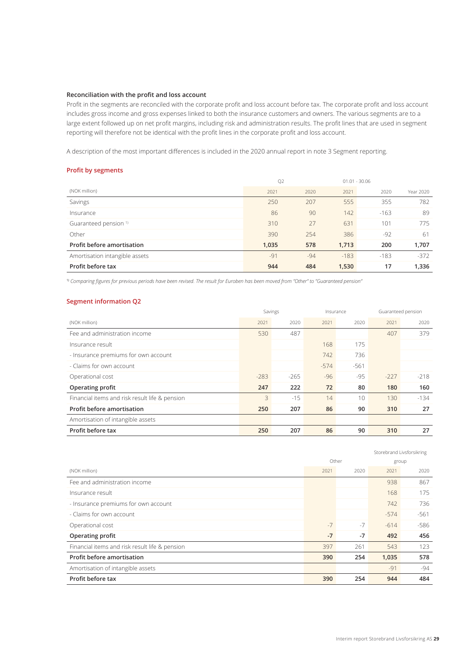## **Reconciliation with the profit and loss account**

Profit in the segments are reconciled with the corporate profit and loss account before tax. The corporate profit and loss account includes gross income and gross expenses linked to both the insurance customers and owners. The various segments are to a large extent followed up on net profit margins, including risk and administration results. The profit lines that are used in segment reporting will therefore not be identical with the profit lines in the corporate profit and loss account.

A description of the most important differences is included in the 2020 annual report in note 3 Segment reporting.

## **Profit by segments**

|                                   | Q <sub>2</sub> |       | $01.01 - 30.06$ |        |           |
|-----------------------------------|----------------|-------|-----------------|--------|-----------|
| (NOK million)                     | 2021           | 2020  | 2021            | 2020   | Year 2020 |
| Savings                           | 250            | 207   | 555             | 355    | 782       |
| Insurance                         | 86             | 90    | 142             | $-163$ | 89        |
| Guaranteed pension <sup>1)</sup>  | 310            | 27    | 631             | 101    | 775       |
| Other                             | 390            | 254   | 386             | $-92$  | -61       |
| <b>Profit before amortisation</b> | 1,035          | 578   | 1,713           | 200    | 1,707     |
| Amortisation intangible assets    | $-91$          | $-94$ | $-183$          | $-183$ | $-372$    |
| Profit before tax                 | 944            | 484   | 1,530           | 17     | 1,336     |

1) *Comparing figures for previous periods have been revised. The result for Euroben has been moved from "Other" to "Guaranteed pension"*

### **Segment information Q2**

|                                                | Savings |        | Insurance |        |        | Guaranteed pension |
|------------------------------------------------|---------|--------|-----------|--------|--------|--------------------|
| (NOK million)                                  | 2021    | 2020   | 2021      | 2020   | 2021   | 2020               |
| Fee and administration income                  | 530     | 487    |           |        | 407    | 379                |
| Insurance result                               |         |        | 168       | 175    |        |                    |
| - Insurance premiums for own account           |         |        | 742       | 736    |        |                    |
| - Claims for own account                       |         |        | $-574$    | $-561$ |        |                    |
| Operational cost                               | $-283$  | $-265$ | $-96$     | $-95$  | $-227$ | $-218$             |
| Operating profit                               | 247     | 222    | 72        | 80     | 180    | 160                |
| Financial items and risk result life & pension | 3       | $-15$  | 14        | 10     | 130    | $-134$             |
| Profit before amortisation                     | 250     | 207    | 86        | 90     | 310    | 27                 |
| Amortisation of intangible assets              |         |        |           |        |        |                    |
| Profit before tax                              | 250     | 207    | 86        | 90     | 310    | 27                 |

|                                                |      |       | Storebrand Livsforsikring |        |
|------------------------------------------------|------|-------|---------------------------|--------|
|                                                |      | Other | group                     |        |
| (NOK million)                                  | 2021 | 2020  | 2021                      | 2020   |
| Fee and administration income                  |      |       | 938                       | 867    |
| Insurance result                               |      |       | 168                       | 175    |
| - Insurance premiums for own account           |      |       | 742                       | 736    |
| - Claims for own account                       |      |       | $-574$                    | $-561$ |
| Operational cost                               | $-7$ | $-7$  | $-614$                    | $-586$ |
| <b>Operating profit</b>                        | $-7$ | $-7$  | 492                       | 456    |
| Financial items and risk result life & pension | 397  | 261   | 543                       | 123    |
| Profit before amortisation                     | 390  | 254   | 1,035                     | 578    |
| Amortisation of intangible assets              |      |       | $-91$                     | -94    |
| Profit before tax                              | 390  | 254   | 944                       | 484    |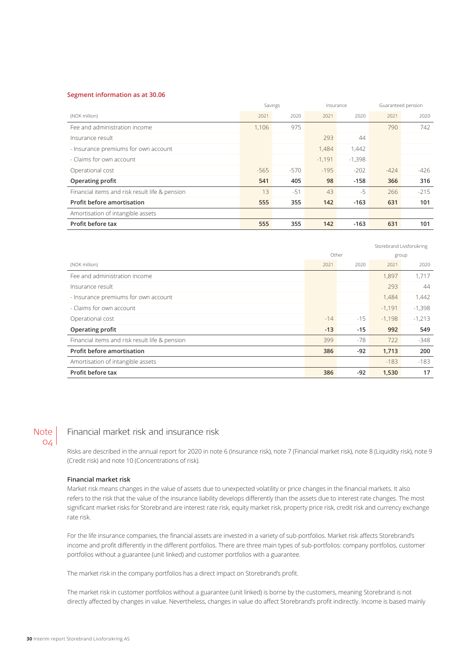### **Segment information as at 30.06**

|                                                | Savings |        | Insurance |          |        | Guaranteed pension |
|------------------------------------------------|---------|--------|-----------|----------|--------|--------------------|
| (NOK million)                                  | 2021    | 2020   | 2021      | 2020     | 2021   | 2020               |
| Fee and administration income                  | 1.106   | 975    |           |          | 790    | 742                |
| Insurance result                               |         |        | 293       | 44       |        |                    |
| - Insurance premiums for own account           |         |        | 1.484     | 1,442    |        |                    |
| - Claims for own account                       |         |        | $-1,191$  | $-1,398$ |        |                    |
| Operational cost                               | $-565$  | $-570$ | $-195$    | $-202$   | $-424$ | -426               |
| Operating profit                               | 541     | 405    | 98        | $-158$   | 366    | 316                |
| Financial items and risk result life & pension | 13      | $-51$  | 43        | $-5$     | 266    | $-215$             |
| Profit before amortisation                     | 555     | 355    | 142       | $-163$   | 631    | 101                |
| Amortisation of intangible assets              |         |        |           |          |        |                    |
| Profit before tax                              | 555     | 355    | 142       | $-163$   | 631    | 101                |

|                                                |       |       |          | Storebrand Livsforsikring |
|------------------------------------------------|-------|-------|----------|---------------------------|
|                                                |       | Other |          | group                     |
| (NOK million)                                  | 2021  | 2020  | 2021     | 2020                      |
| Fee and administration income                  |       |       | 1,897    | 1,717                     |
| Insurance result                               |       |       | 293      | 44                        |
| - Insurance premiums for own account           |       |       | 1,484    | 1,442                     |
| - Claims for own account                       |       |       | $-1,191$ | $-1,398$                  |
| Operational cost                               | $-14$ | $-15$ | $-1,198$ | $-1,213$                  |
| <b>Operating profit</b>                        | $-13$ | $-15$ | 992      | 549                       |
| Financial items and risk result life & pension | 399   | $-78$ | 722      | $-348$                    |
| Profit before amortisation                     | 386   | $-92$ | 1,713    | 200                       |
| Amortisation of intangible assets              |       |       | $-183$   | $-183$                    |
| Profit before tax                              | 386   | $-92$ | 1,530    | 17                        |

## Note  $O/A$

## Financial market risk and insurance risk

Risks are described in the annual report for 2020 in note 6 (Insurance risk), note 7 (Financial market risk), note 8 (Liquidity risk), note 9 (Credit risk) and note 10 (Concentrations of risk).

## **Financial market risk**

Market risk means changes in the value of assets due to unexpected volatility or price changes in the financial markets. It also refers to the risk that the value of the insurance liability develops differently than the assets due to interest rate changes. The most significant market risks for Storebrand are interest rate risk, equity market risk, property price risk, credit risk and currency exchange rate risk.

For the life insurance companies, the financial assets are invested in a variety of sub-portfolios. Market risk affects Storebrand's income and profit differently in the different portfolios. There are three main types of sub-portfolios: company portfolios, customer portfolios without a guarantee (unit linked) and customer portfolios with a guarantee.

The market risk in the company portfolios has a direct impact on Storebrand's profit.

The market risk in customer portfolios without a guarantee (unit linked) is borne by the customers, meaning Storebrand is not directly affected by changes in value. Nevertheless, changes in value do affect Storebrand's profit indirectly. Income is based mainly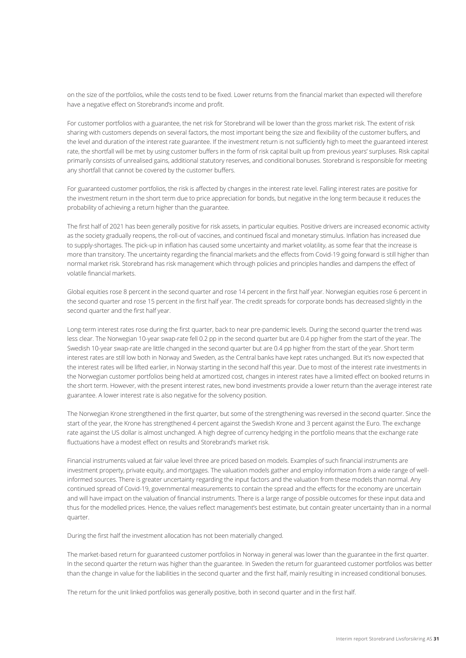on the size of the portfolios, while the costs tend to be fixed. Lower returns from the financial market than expected will therefore have a negative effect on Storebrand's income and profit.

For customer portfolios with a guarantee, the net risk for Storebrand will be lower than the gross market risk. The extent of risk sharing with customers depends on several factors, the most important being the size and flexibility of the customer buffers, and the level and duration of the interest rate guarantee. If the investment return is not sufficiently high to meet the guaranteed interest rate, the shortfall will be met by using customer buffers in the form of risk capital built up from previous years' surpluses. Risk capital primarily consists of unrealised gains, additional statutory reserves, and conditional bonuses. Storebrand is responsible for meeting any shortfall that cannot be covered by the customer buffers.

For guaranteed customer portfolios, the risk is affected by changes in the interest rate level. Falling interest rates are positive for the investment return in the short term due to price appreciation for bonds, but negative in the long term because it reduces the probability of achieving a return higher than the guarantee.

The first half of 2021 has been generally positive for risk assets, in particular equities. Positive drivers are increased economic activity as the society gradually reopens, the roll-out of vaccines, and continued fiscal and monetary stimulus. Inflation has increased due to supply-shortages. The pick-up in inflation has caused some uncertainty and market volatility, as some fear that the increase is more than transitory. The uncertainty regarding the financial markets and the effects from Covid-19 going forward is still higher than normal market risk. Storebrand has risk management which through policies and principles handles and dampens the effect of volatile financial markets.

Global equities rose 8 percent in the second quarter and rose 14 percent in the first half year. Norwegian equities rose 6 percent in the second quarter and rose 15 percent in the first half year. The credit spreads for corporate bonds has decreased slightly in the second quarter and the first half year.

Long-term interest rates rose during the first quarter, back to near pre-pandemic levels. During the second quarter the trend was less clear. The Norwegian 10-year swap-rate fell 0.2 pp in the second quarter but are 0.4 pp higher from the start of the year. The Swedish 10-year swap-rate are little changed in the second quarter but are 0.4 pp higher from the start of the year. Short term interest rates are still low both in Norway and Sweden, as the Central banks have kept rates unchanged. But it's now expected that the interest rates will be lifted earlier, in Norway starting in the second half this year. Due to most of the interest rate investments in the Norwegian customer portfolios being held at amortized cost, changes in interest rates have a limited effect on booked returns in the short term. However, with the present interest rates, new bond investments provide a lower return than the average interest rate guarantee. A lower interest rate is also negative for the solvency position.

The Norwegian Krone strengthened in the first quarter, but some of the strengthening was reversed in the second quarter. Since the start of the year, the Krone has strengthened 4 percent against the Swedish Krone and 3 percent against the Euro. The exchange rate against the US dollar is almost unchanged. A high degree of currency hedging in the portfolio means that the exchange rate fluctuations have a modest effect on results and Storebrand's market risk.

Financial instruments valued at fair value level three are priced based on models. Examples of such financial instruments are investment property, private equity, and mortgages. The valuation models gather and employ information from a wide range of wellinformed sources. There is greater uncertainty regarding the input factors and the valuation from these models than normal. Any continued spread of Covid-19, governmental measurements to contain the spread and the effects for the economy are uncertain and will have impact on the valuation of financial instruments. There is a large range of possible outcomes for these input data and thus for the modelled prices. Hence, the values reflect management's best estimate, but contain greater uncertainty than in a normal quarter.

During the first half the investment allocation has not been materially changed.

The market-based return for guaranteed customer portfolios in Norway in general was lower than the guarantee in the first quarter. In the second quarter the return was higher than the guarantee. In Sweden the return for guaranteed customer portfolios was better than the change in value for the liabilities in the second quarter and the first half, mainly resulting in increased conditional bonuses.

The return for the unit linked portfolios was generally positive, both in second quarter and in the first half.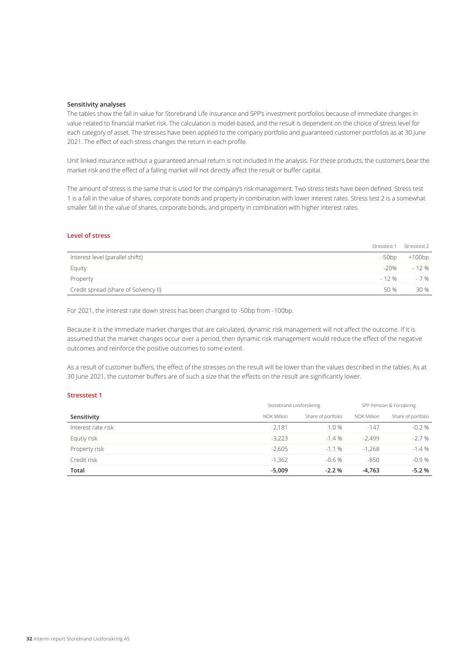### **Sensitivity analyses**

The tables show the fall in value for Storebrand Life Insurance and SPP's investment portfolios because of immediate changes in value related to financial market risk. The calculation is model-based, and the result is dependent on the choice of stress level for each category of asset. The stresses have been applied to the company portfolio and guaranteed customer portfolios as at 30 June 2021. The effect of each stress changes the return in each profile.

Unit linked insurance without a guaranteed annual return is not included in the analysis. For these products, the customers bear the market risk and the effect of a falling market will not directly affect the result or buffer capital.

The amount of stress is the same that is used for the company's risk management. Two stress tests have been defined. Stress test 1 is a fall in the value of shares, corporate bonds and property in combination with lower interest rates. Stress test 2 is a somewhat smaller fall in the value of shares, corporate bonds, and property in combination with higher interest rates.

## **Level of stress**

|                                      |      | Stresstest 1 Stresstest 2 |
|--------------------------------------|------|---------------------------|
| Interest level (parallel shiftt)     |      | $-50bp$ $+100bp$          |
| Equity                               | -20% | $-12\%$                   |
| Property                             |      | $-12\%$ $-7\%$            |
| Credit spread (share of Solvency II) | 50 % | 30 %                      |

For 2021, the interest rate down stress has been changed to -50bp from -100bp.

Because it is the immediate market changes that are calculated, dynamic risk management will not affect the outcome. If it is assumed that the market changes occur over a period, then dynamic risk management would reduce the effect of the negative outcomes and reinforce the positive outcomes to some extent.

As a result of customer buffers, the effect of the stresses on the result will be lower than the values described in the tables. As at 30 June 2021, the customer buffers are of such a size that the effects on the result are significantly lower.

### **Stresstest 1**

|                    | Storebrand Livsforsikring |                    | SPP Pension & Försäkring |                    |  |
|--------------------|---------------------------|--------------------|--------------------------|--------------------|--|
| Sensitivity        | NOK Million               | Share of portfolio | NOK Million              | Share of portfolio |  |
| Interest rate risk | 2.181                     | 1.0%               | $-147$                   | $-0.2%$            |  |
| Equtiy risk        | $-3,223$                  | $-1.4%$            | $-2.499$                 | $-2.7%$            |  |
| Property risk      | $-2.605$                  | $-1.1%$            | $-1.268$                 | $-1.4%$            |  |
| Credit risk        | $-1,362$                  | $-0.6%$            | $-850$                   | $-0.9%$            |  |
| Total              | $-5.009$                  | $-2.2%$            | $-4,763$                 | $-5.2%$            |  |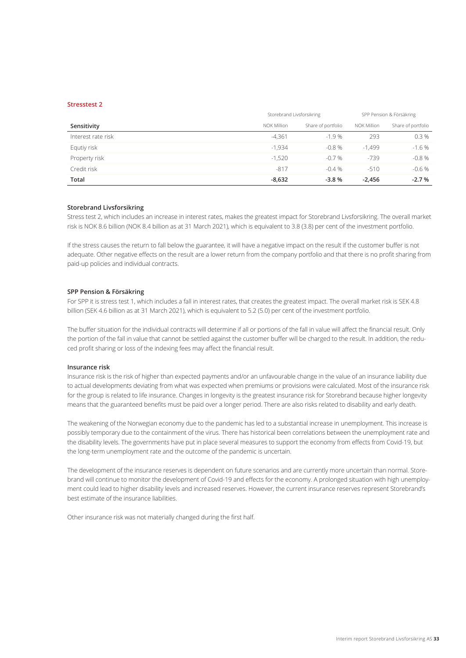### **Stresstest 2**

|                    | Storebrand Livsforsikring |                    | SPP Pension & Försäkring |                    |  |
|--------------------|---------------------------|--------------------|--------------------------|--------------------|--|
| Sensitivity        | NOK Million               | Share of portfolio | NOK Million              | Share of portfolio |  |
| Interest rate risk | $-4,361$                  | $-1.9%$            | 293                      | 0.3%               |  |
| Equtiy risk        | $-1.934$                  | $-0.8%$            | $-1.499$                 | $-1.6%$            |  |
| Property risk      | $-1.520$                  | $-0.7%$            | $-739$                   | $-0.8%$            |  |
| Credit risk        | $-817$                    | $-0.4%$            | $-510$                   | $-0.6%$            |  |
| Total              | $-8,632$                  | $-3.8%$            | $-2.456$                 | $-2.7%$            |  |

#### **Storebrand Livsforsikring**

Stress test 2, which includes an increase in interest rates, makes the greatest impact for Storebrand Livsforsikring. The overall market risk is NOK 8.6 billion (NOK 8.4 billion as at 31 March 2021), which is equivalent to 3.8 (3.8) per cent of the investment portfolio.

If the stress causes the return to fall below the guarantee, it will have a negative impact on the result if the customer buffer is not adequate. Other negative effects on the result are a lower return from the company portfolio and that there is no profit sharing from paid-up policies and individual contracts.

#### **SPP Pension & Försäkring**

For SPP it is stress test 1, which includes a fall in interest rates, that creates the greatest impact. The overall market risk is SEK 4.8 billion (SEK 4.6 billion as at 31 March 2021), which is equivalent to 5.2 (5.0) per cent of the investment portfolio.

The buffer situation for the individual contracts will determine if all or portions of the fall in value will affect the financial result. Only the portion of the fall in value that cannot be settled against the customer buffer will be charged to the result. In addition, the reduced profit sharing or loss of the indexing fees may affect the financial result.

#### **Insurance risk**

Insurance risk is the risk of higher than expected payments and/or an unfavourable change in the value of an insurance liability due to actual developments deviating from what was expected when premiums or provisions were calculated. Most of the insurance risk for the group is related to life insurance. Changes in longevity is the greatest insurance risk for Storebrand because higher longevity means that the guaranteed benefits must be paid over a longer period. There are also risks related to disability and early death.

The weakening of the Norwegian economy due to the pandemic has led to a substantial increase in unemployment. This increase is possibly temporary due to the containment of the virus. There has historical been correlations between the unemployment rate and the disability levels. The governments have put in place several measures to support the economy from effects from Covid-19, but the long-term unemployment rate and the outcome of the pandemic is uncertain.

The development of the insurance reserves is dependent on future scenarios and are currently more uncertain than normal. Storebrand will continue to monitor the development of Covid-19 and effects for the economy. A prolonged situation with high unemployment could lead to higher disability levels and increased reserves. However, the current insurance reserves represent Storebrand's best estimate of the insurance liabilities.

Other insurance risk was not materially changed during the first half.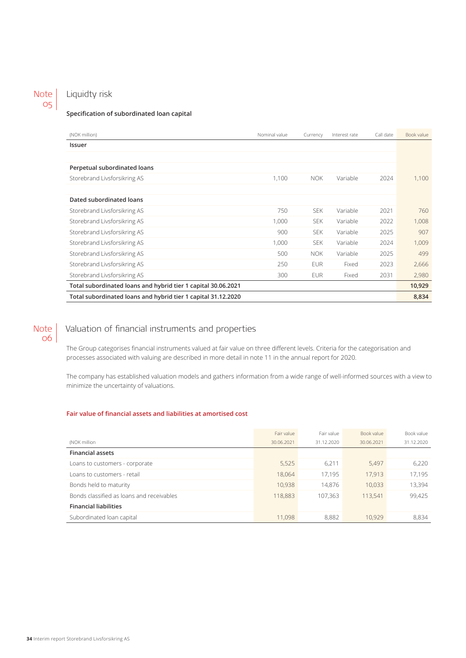#### Liquidty risk Note 05

## **Specification of subordinated loan capital**

| (NOK million)                                                 | Nominal value | Currency   | Interest rate | Call date | Book value |
|---------------------------------------------------------------|---------------|------------|---------------|-----------|------------|
| Issuer                                                        |               |            |               |           |            |
|                                                               |               |            |               |           |            |
| Perpetual subordinated loans                                  |               |            |               |           |            |
| Storebrand Livsforsikring AS                                  | 1.100         | <b>NOK</b> | Variable      | 2024      | 1,100      |
|                                                               |               |            |               |           |            |
| Dated subordinated loans                                      |               |            |               |           |            |
| Storebrand Livsforsikring AS                                  | 750           | <b>SEK</b> | Variable      | 2021      | 760        |
| Storebrand Livsforsikring AS                                  | 1,000         | <b>SEK</b> | Variable      | 2022      | 1,008      |
| Storebrand Livsforsikring AS                                  | 900           | <b>SEK</b> | Variable      | 2025      | 907        |
| Storebrand Livsforsikring AS                                  | 1,000         | <b>SEK</b> | Variable      | 2024      | 1,009      |
| Storebrand Livsforsikring AS                                  | 500           | <b>NOK</b> | Variable      | 2025      | 499        |
| Storebrand Livsforsikring AS                                  | 250           | <b>EUR</b> | Fixed         | 2023      | 2,666      |
| Storebrand Livsforsikring AS                                  | 300           | <b>EUR</b> | Fixed         | 2031      | 2,980      |
| Total subordinated loans and hybrid tier 1 capital 30.06.2021 |               |            |               |           | 10,929     |
| Total subordinated loans and hybrid tier 1 capital 31.12.2020 |               |            |               |           | 8,834      |

## Note 06

## Valuation of financial instruments and properties

The Group categorises financial instruments valued at fair value on three different levels. Criteria for the categorisation and processes associated with valuing are described in more detail in note 11 in the annual report for 2020.

The company has established valuation models and gathers information from a wide range of well-informed sources with a view to minimize the uncertainty of valuations.

## **Fair value of financial assets and liabilities at amortised cost**

|                                           | Fair value | Fair value | Book value | Book value |
|-------------------------------------------|------------|------------|------------|------------|
| (NOK million                              | 30.06.2021 | 31.12.2020 | 30.06.2021 | 31.12.2020 |
| <b>Financial assets</b>                   |            |            |            |            |
| Loans to customers - corporate            | 5,525      | 6.211      | 5.497      | 6.220      |
| Loans to customers - retail               | 18.064     | 17.195     | 17.913     | 17,195     |
| Bonds held to maturity                    | 10.938     | 14.876     | 10.033     | 13,394     |
| Bonds classified as loans and receivables | 118,883    | 107,363    | 113,541    | 99,425     |
| <b>Financial liabilities</b>              |            |            |            |            |
| Subordinated loan capital                 | 11.098     | 8,882      | 10.929     | 8.834      |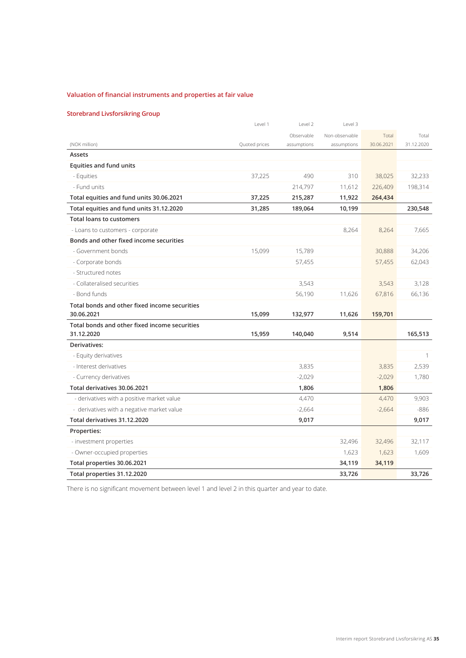## **Valuation of financial instruments and properties at fair value**

## **Storebrand Livsforsikring Group**

|                                               | Level 1       | Level 2     | Level 3        |            |            |
|-----------------------------------------------|---------------|-------------|----------------|------------|------------|
|                                               |               | Observable  | Non-observable | Total      | Total      |
| (NOK million)                                 | Quoted prices | assumptions | assumptions    | 30.06.2021 | 31.12.2020 |
| Assets                                        |               |             |                |            |            |
| <b>Equities and fund units</b>                |               |             |                |            |            |
| - Equities                                    | 37,225        | 490         | 310            | 38,025     | 32,233     |
| - Fund units                                  |               | 214,797     | 11,612         | 226,409    | 198,314    |
| Total equities and fund units 30.06.2021      | 37,225        | 215,287     | 11,922         | 264,434    |            |
| Total equities and fund units 31.12.2020      | 31,285        | 189,064     | 10,199         |            | 230,548    |
| <b>Total loans to customers</b>               |               |             |                |            |            |
| - Loans to customers - corporate              |               |             | 8,264          | 8,264      | 7,665      |
| Bonds and other fixed income securities       |               |             |                |            |            |
| - Government bonds                            | 15,099        | 15,789      |                | 30,888     | 34,206     |
| - Corporate bonds                             |               | 57,455      |                | 57,455     | 62,043     |
| - Structured notes                            |               |             |                |            |            |
| - Collateralised securities                   |               | 3,543       |                | 3,543      | 3.128      |
| - Bond funds                                  |               | 56,190      | 11,626         | 67,816     | 66,136     |
| Total bonds and other fixed income securities |               |             |                |            |            |
| 30.06.2021                                    | 15,099        | 132,977     | 11,626         | 159,701    |            |
| Total bonds and other fixed income securities |               |             |                |            |            |
| 31.12.2020                                    | 15,959        | 140,040     | 9,514          |            | 165,513    |
| Derivatives:                                  |               |             |                |            |            |
| - Equity derivatives                          |               |             |                |            | 1          |
| - Interest derivatives                        |               | 3,835       |                | 3,835      | 2,539      |
| - Currency derivatives                        |               | $-2,029$    |                | $-2,029$   | 1,780      |
| Total derivatives 30.06.2021                  |               | 1,806       |                | 1,806      |            |
| - derivatives with a positive market value    |               | 4,470       |                | 4.470      | 9,903      |
| - derivatives with a negative market value    |               | $-2,664$    |                | $-2,664$   | $-886$     |
| Total derivatives 31.12.2020                  |               | 9,017       |                |            | 9,017      |
| Properties:                                   |               |             |                |            |            |
| - investment properties                       |               |             | 32,496         | 32,496     | 32,117     |
| - Owner-occupied properties                   |               |             | 1,623          | 1,623      | 1,609      |
| Total properties 30.06.2021                   |               |             | 34,119         | 34,119     |            |
| Total properties 31.12.2020                   |               |             | 33,726         |            | 33.726     |

There is no significant movement between level 1 and level 2 in this quarter and year to date.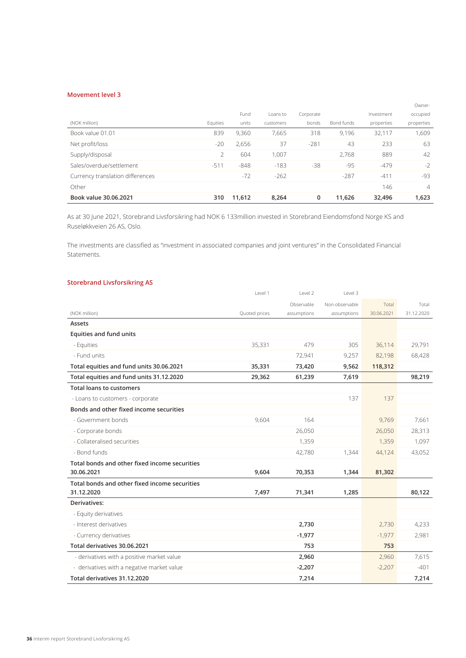## **Movement level 3**

|                                  |          |        |           |           |            |            | Owner-         |
|----------------------------------|----------|--------|-----------|-----------|------------|------------|----------------|
|                                  |          | Fund   | Loans to  | Corporate |            | Investment | occupied       |
| (NOK million)                    | Equities | units  | customers | bonds     | Bond funds | properties | properties     |
| Book value 01.01                 | 839      | 9,360  | 7.665     | 318       | 9.196      | 32,117     | 1.609          |
| Net profit/loss                  | $-20$    | 2,656  | 37        | $-281$    | 43         | 233        | 63             |
| Supply/disposal                  |          | 604    | 1.007     |           | 2.768      | 889        | 42             |
| Sales/overdue/settlement         | $-511$   | $-848$ | $-183$    | $-38$     | $-95$      | $-479$     | $-2$           |
| Currency translation differences |          | $-72$  | $-262$    |           | $-287$     | $-411$     | -93            |
| Other                            |          |        |           |           |            | 146        | $\overline{4}$ |
| Book value 30.06.2021            | 310      | 11.612 | 8,264     | 0         | 11.626     | 32.496     | 1,623          |

As at 30 June 2021, Storebrand Livsforsikring had NOK 6 133million invested in Storebrand Eiendomsfond Norge KS and Ruseløkkveien 26 AS, Oslo.

The investments are classified as "investment in associated companies and joint ventures" in the Consolidated Financial Statements.

## **Storebrand Livsforsikring AS**

|                                               | Level 1       | Level 2     | Level 3        |            |            |
|-----------------------------------------------|---------------|-------------|----------------|------------|------------|
|                                               |               | Observable  | Non-observable | Total      | Total      |
| (NOK million)                                 | Quoted prices | assumptions | assumptions    | 30.06.2021 | 31.12.2020 |
| Assets                                        |               |             |                |            |            |
| <b>Equities and fund units</b>                |               |             |                |            |            |
| - Equities                                    | 35,331        | 479         | 305            | 36,114     | 29,791     |
| - Fund units                                  |               | 72,941      | 9,257          | 82,198     | 68,428     |
| Total equities and fund units 30.06.2021      | 35,331        | 73,420      | 9,562          | 118,312    |            |
| Total equities and fund units 31.12.2020      | 29,362        | 61,239      | 7,619          |            | 98,219     |
| <b>Total loans to customers</b>               |               |             |                |            |            |
| - Loans to customers - corporate              |               |             | 137            | 137        |            |
| Bonds and other fixed income securities       |               |             |                |            |            |
| - Government bonds                            | 9,604         | 164         |                | 9,769      | 7,661      |
| - Corporate bonds                             |               | 26,050      |                | 26,050     | 28,313     |
| - Collateralised securities                   |               | 1,359       |                | 1,359      | 1,097      |
| - Bond funds                                  |               | 42,780      | 1,344          | 44,124     | 43,052     |
| Total bonds and other fixed income securities |               |             |                |            |            |
| 30.06.2021                                    | 9,604         | 70,353      | 1,344          | 81,302     |            |
| Total bonds and other fixed income securities |               |             |                |            |            |
| 31.12.2020                                    | 7,497         | 71,341      | 1,285          |            | 80,122     |
| Derivatives:                                  |               |             |                |            |            |
| - Equity derivatives                          |               |             |                |            |            |
| - Interest derivatives                        |               | 2,730       |                | 2,730      | 4,233      |
| - Currency derivatives                        |               | $-1,977$    |                | $-1,977$   | 2,981      |
| Total derivatives 30.06.2021                  |               | 753         |                | 753        |            |
| - derivatives with a positive market value    |               | 2,960       |                | 2,960      | 7,615      |
| - derivatives with a negative market value    |               | $-2,207$    |                | $-2,207$   | $-401$     |
| Total derivatives 31.12.2020                  |               | 7,214       |                |            | 7,214      |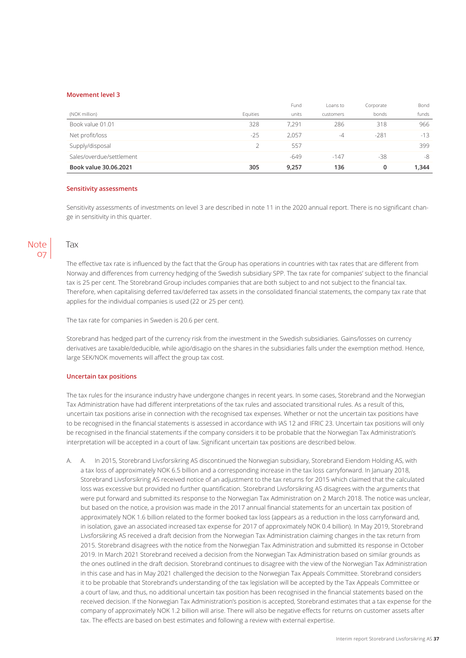#### **Movement level 3**

|                          |          | Fund   | Loans to  | Corporate | Bond  |
|--------------------------|----------|--------|-----------|-----------|-------|
| (NOK million)            | Equities | units  | customers | bonds     | funds |
| Book value 01.01         | 328      | 7.291  | 286       | 318       | 966   |
| Net profit/loss          | $-25$    | 2.057  | -4        | $-281$    | $-13$ |
| Supply/disposal          |          | 557    |           |           | 399   |
| Sales/overdue/settlement |          | $-649$ | $-147$    | $-38$     | -8    |
| Book value 30.06.2021    | 305      | 9,257  | 136       | 0         | 1,344 |

### **Sensitivity assessments**

Sensitivity assessments of investments on level 3 are described in note 11 in the 2020 annual report. There is no significant change in sensitivity in this quarter.



## Tax

The effective tax rate is influenced by the fact that the Group has operations in countries with tax rates that are different from Norway and differences from currency hedging of the Swedish subsidiary SPP. The tax rate for companies' subject to the financial tax is 25 per cent. The Storebrand Group includes companies that are both subject to and not subject to the financial tax. Therefore, when capitalising deferred tax/deferred tax assets in the consolidated financial statements, the company tax rate that applies for the individual companies is used (22 or 25 per cent).

The tax rate for companies in Sweden is 20.6 per cent.

Storebrand has hedged part of the currency risk from the investment in the Swedish subsidiaries. Gains/losses on currency derivatives are taxable/deducible, while agio/disagio on the shares in the subsidiaries falls under the exemption method. Hence, large SEK/NOK movements will affect the group tax cost.

#### **Uncertain tax positions**

The tax rules for the insurance industry have undergone changes in recent years. In some cases, Storebrand and the Norwegian Tax Administration have had different interpretations of the tax rules and associated transitional rules. As a result of this, uncertain tax positions arise in connection with the recognised tax expenses. Whether or not the uncertain tax positions have to be recognised in the financial statements is assessed in accordance with IAS 12 and IFRIC 23. Uncertain tax positions will only be recognised in the financial statements if the company considers it to be probable that the Norwegian Tax Administration's interpretation will be accepted in a court of law. Significant uncertain tax positions are described below.

A. A. In 2015, Storebrand Livsforsikring AS discontinued the Norwegian subsidiary, Storebrand Eiendom Holding AS, with a tax loss of approximately NOK 6.5 billion and a corresponding increase in the tax loss carryforward. In January 2018, Storebrand Livsforsikring AS received notice of an adjustment to the tax returns for 2015 which claimed that the calculated loss was excessive but provided no further quantification. Storebrand Livsforsikring AS disagrees with the arguments that were put forward and submitted its response to the Norwegian Tax Administration on 2 March 2018. The notice was unclear, but based on the notice, a provision was made in the 2017 annual financial statements for an uncertain tax position of approximately NOK 1.6 billion related to the former booked tax loss (appears as a reduction in the loss carryforward and, in isolation, gave an associated increased tax expense for 2017 of approximately NOK 0.4 billion). In May 2019, Storebrand Livsforsikring AS received a draft decision from the Norwegian Tax Administration claiming changes in the tax return from 2015. Storebrand disagrees with the notice from the Norwegian Tax Administration and submitted its response in October 2019. In March 2021 Storebrand received a decision from the Norwegian Tax Administration based on similar grounds as the ones outlined in the draft decision. Storebrand continues to disagree with the view of the Norwegian Tax Administration in this case and has in May 2021 challenged the decision to the Norwegian Tax Appeals Committee. Storebrand considers it to be probable that Storebrand's understanding of the tax legislation will be accepted by the Tax Appeals Committee or a court of law, and thus, no additional uncertain tax position has been recognised in the financial statements based on the received decision. If the Norwegian Tax Administration's position is accepted, Storebrand estimates that a tax expense for the company of approximately NOK 1.2 billion will arise. There will also be negative effects for returns on customer assets after tax. The effects are based on best estimates and following a review with external expertise.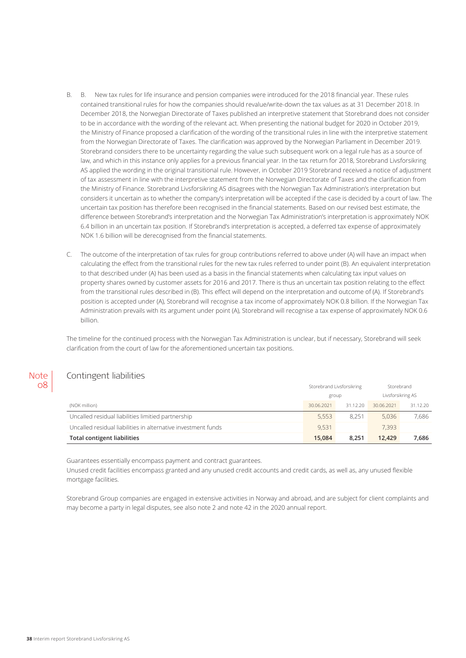- B. B. New tax rules for life insurance and pension companies were introduced for the 2018 financial year. These rules contained transitional rules for how the companies should revalue/write-down the tax values as at 31 December 2018. In December 2018, the Norwegian Directorate of Taxes published an interpretive statement that Storebrand does not consider to be in accordance with the wording of the relevant act. When presenting the national budget for 2020 in October 2019, the Ministry of Finance proposed a clarification of the wording of the transitional rules in line with the interpretive statement from the Norwegian Directorate of Taxes. The clarification was approved by the Norwegian Parliament in December 2019. Storebrand considers there to be uncertainty regarding the value such subsequent work on a legal rule has as a source of law, and which in this instance only applies for a previous financial year. In the tax return for 2018, Storebrand Livsforsikring AS applied the wording in the original transitional rule. However, in October 2019 Storebrand received a notice of adjustment of tax assessment in line with the interpretive statement from the Norwegian Directorate of Taxes and the clarification from the Ministry of Finance. Storebrand Livsforsikring AS disagrees with the Norwegian Tax Administration's interpretation but considers it uncertain as to whether the company's interpretation will be accepted if the case is decided by a court of law. The uncertain tax position has therefore been recognised in the financial statements. Based on our revised best estimate, the difference between Storebrand's interpretation and the Norwegian Tax Administration's interpretation is approximately NOK 6.4 billion in an uncertain tax position. If Storebrand's interpretation is accepted, a deferred tax expense of approximately NOK 1.6 billion will be derecognised from the financial statements.
- C. The outcome of the interpretation of tax rules for group contributions referred to above under (A) will have an impact when calculating the effect from the transitional rules for the new tax rules referred to under point (B). An equivalent interpretation to that described under (A) has been used as a basis in the financial statements when calculating tax input values on property shares owned by customer assets for 2016 and 2017. There is thus an uncertain tax position relating to the effect from the transitional rules described in (B). This effect will depend on the interpretation and outcome of (A). If Storebrand's position is accepted under (A), Storebrand will recognise a tax income of approximately NOK 0.8 billion. If the Norwegian Tax Administration prevails with its argument under point (A), Storebrand will recognise a tax expense of approximately NOK 0.6 billion.

The timeline for the continued process with the Norwegian Tax Administration is unclear, but if necessary, Storebrand will seek clarification from the court of law for the aforementioned uncertain tax positions.

## Contingent liabilities

**Note** 08

|                                                               | Storebrand Livsforsikring |          | Storebrand        |          |
|---------------------------------------------------------------|---------------------------|----------|-------------------|----------|
|                                                               | group                     |          | Livsforsikring AS |          |
| (NOK million)                                                 | 30.06.2021                | 31.12.20 | 30.06.2021        | 31.12.20 |
| Uncalled residual liabilities limitied partnership            | 5.553                     | 8.251    | 5.036             | 7.686    |
| Uncalled residual liabilities in alternative investment funds | 9.531                     |          | 7.393             |          |
| Total contigent liabilities                                   | 15.084                    | 8.251    | 12.429            | 7.686    |

Guarantees essentially encompass payment and contract guarantees.

Unused credit facilities encompass granted and any unused credit accounts and credit cards, as well as, any unused flexible mortgage facilities.

Storebrand Group companies are engaged in extensive activities in Norway and abroad, and are subject for client complaints and may become a party in legal disputes, see also note 2 and note 42 in the 2020 annual report.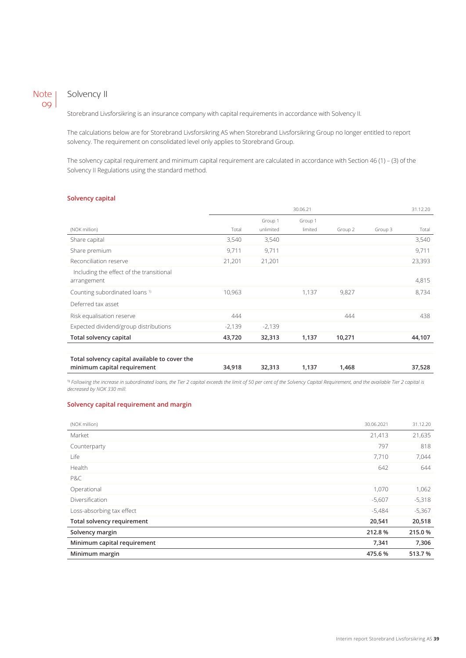## Note 09

## Solvency II

Storebrand Livsforsikring is an insurance company with capital requirements in accordance with Solvency II.

The calculations below are for Storebrand Livsforsikring AS when Storebrand Livsforsikring Group no longer entitled to report solvency. The requirement on consolidated level only applies to Storebrand Group.

The solvency capital requirement and minimum capital requirement are calculated in accordance with Section 46 (1) – (3) of the Solvency II Regulations using the standard method.

## **Solvency capital**

|                                               | 30.06.21 |           |         | 31.12.20 |         |        |
|-----------------------------------------------|----------|-----------|---------|----------|---------|--------|
|                                               |          | Group 1   | Group 1 |          |         |        |
| (NOK million)                                 | Total    | unlimited | limited | Group 2  | Group 3 | Total  |
| Share capital                                 | 3,540    | 3,540     |         |          |         | 3,540  |
| Share premium                                 | 9,711    | 9,711     |         |          |         | 9,711  |
| Reconciliation reserve                        | 21,201   | 21,201    |         |          |         | 23,393 |
| Including the effect of the transitional      |          |           |         |          |         |        |
| arrangement                                   |          |           |         |          |         | 4,815  |
| Counting subordinated loans <sup>1)</sup>     | 10,963   |           | 1,137   | 9,827    |         | 8,734  |
| Deferred tax asset                            |          |           |         |          |         |        |
| Risk equalisation reserve                     | 444      |           |         | 444      |         | 438    |
| Expected dividend/group distributions         | $-2,139$ | $-2,139$  |         |          |         |        |
| Total solvency capital                        | 43,720   | 32,313    | 1,137   | 10,271   |         | 44,107 |
|                                               |          |           |         |          |         |        |
| Total solvency capital available to cover the |          |           |         |          |         |        |
| minimum capital requirement                   | 34,918   | 32,313    | 1,137   | 1,468    |         | 37,528 |

1) *Following the increase in subordinated loans, the Tier 2 capital exceeds the limit of 50 per cent of the Solvency Capital Requirement, and the available Tier 2 capital is decreased by NOK 330 mill.*

### **Solvency capital requirement and margin**

| (NOK million)               | 30.06.2021 | 31.12.20 |
|-----------------------------|------------|----------|
| Market                      | 21,413     | 21,635   |
| Counterparty                | 797        | 818      |
| Life                        | 7,710      | 7,044    |
| Health                      | 642        | 644      |
| P&C                         |            |          |
| Operational                 | 1,070      | 1,062    |
| Diversification             | $-5,607$   | $-5,318$ |
| Loss-absorbing tax effect   | $-5,484$   | $-5,367$ |
| Total solvency requirement  | 20,541     | 20,518   |
| Solvency margin             | 212.8%     | 215.0%   |
| Minimum capital requirement | 7,341      | 7,306    |
| Minimum margin              | 475.6%     | 513.7%   |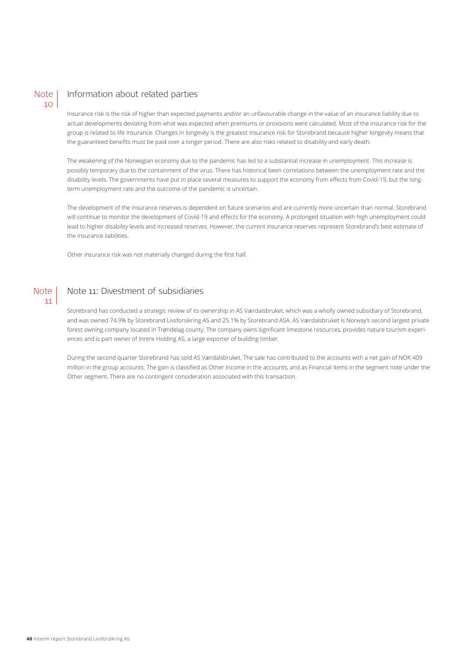## **Note**  $10<sup>1</sup>$

## Information about related parties

Insurance risk is the risk of higher than expected payments and/or an unfavourable change in the value of an insurance liability due to actual developments deviating from what was expected when premiums or provisions were calculated. Most of the insurance risk for the group is related to life insurance. Changes in longevity is the greatest insurance risk for Storebrand because higher longevity means that the guaranteed benefits must be paid over a longer period. There are also risks related to disability and early death.

The weakening of the Norwegian economy due to the pandemic has led to a substantial increase in unemployment. This increase is possibly temporary due to the containment of the virus. There has historical been correlations between the unemployment rate and the disability levels. The governments have put in place several measures to support the economy from effects from Covid-19, but the longterm unemployment rate and the outcome of the pandemic is uncertain.

The development of the insurance reserves is dependent on future scenarios and are currently more uncertain than normal. Storebrand will continue to monitor the development of Covid-19 and effects for the economy. A prolonged situation with high unemployment could lead to higher disability levels and increased reserves. However, the current insurance reserves represent Storebrand's best estimate of the insurance liabilities.

Other insurance risk was not materially changed during the first half.



## Note 11: Divestment of subsidiaries

Storebrand has conducted a strategic review of its ownership in AS Værdalsbruket, which was a wholly owned subsidiary of Storebrand, and was owned 74.9% by Storebrand Livsforsikring AS and 25.1% by Storebrand ASA. AS Værdalsbruket is Norway's second largest private forest owning company located in Trøndelag county. The company owns significant limestone resources, provides nature tourism experiences and is part owner of Inntre Holding AS, a large exporter of building timber.

During the second quarter Storebrand has sold AS Værdalsbruket. The sale has contributed to the accounts with a net gain of NOK 409 million in the group accounts. The gain is classified as Other Income in the accounts, and as Financial Items in the segment note under the Other segment. There are no contingent consideration associated with this transaction.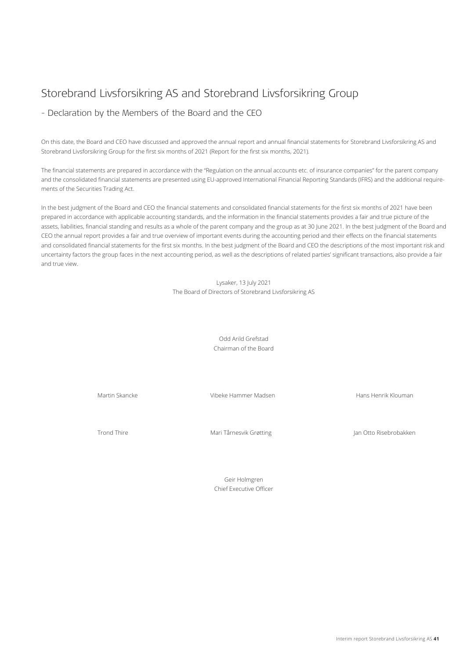## Storebrand Livsforsikring AS and Storebrand Livsforsikring Group

## - Declaration by the Members of the Board and the CEO

On this date, the Board and CEO have discussed and approved the annual report and annual financial statements for Storebrand Livsforsikring AS and Storebrand Livsforsikring Group for the first six months of 2021 (Report for the first six months, 2021).

The financial statements are prepared in accordance with the "Regulation on the annual accounts etc. of insurance companies" for the parent company and the consolidated financial statements are presented using EU-approved International Financial Reporting Standards (IFRS) and the additional requirements of the Securities Trading Act.

In the best judgment of the Board and CEO the financial statements and consolidated financial statements for the first six months of 2021 have been prepared in accordance with applicable accounting standards, and the information in the financial statements provides a fair and true picture of the assets, liabilities, financial standing and results as a whole of the parent company and the group as at 30 June 2021. In the best judgment of the Board and CEO the annual report provides a fair and true overview of important events during the accounting period and their effects on the financial statements and consolidated financial statements for the first six months. In the best judgment of the Board and CEO the descriptions of the most important risk and uncertainty factors the group faces in the next accounting period, as well as the descriptions of related parties' significant transactions, also provide a fair and true view.

> Lysaker, 13 July 2021 The Board of Directors of Storebrand Livsforsikring AS

> > Odd Arild Grefstad Chairman of the Board

Martin Skancke **Vibeke Hammer Madsen** Hans Henrik Klouman Martin Skancke Hans Henrik Klouman

Trond Thire Thire Mari Tårnesvik Grøtting Jan Otto Risebrobakken

Geir Holmgren Chief Executive Officer